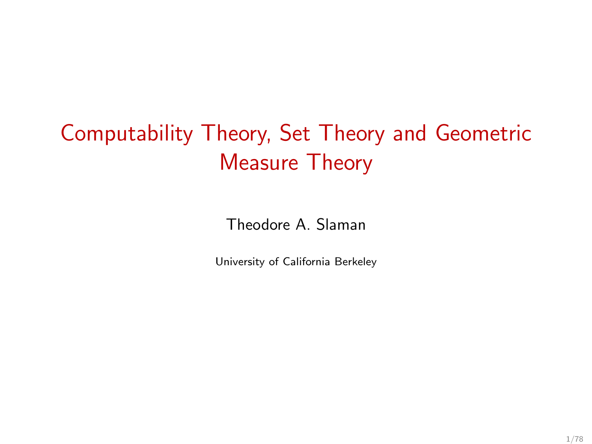# Computability Theory, Set Theory and Geometric Measure Theory

Theodore A. Slaman

University of California Berkeley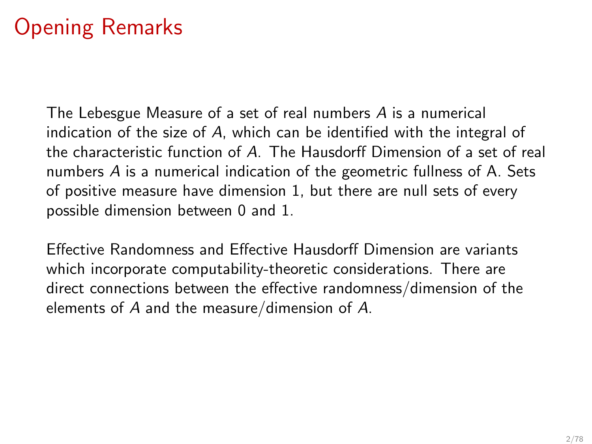# Opening Remarks

The Lebesgue Measure of a set of real numbers A is a numerical indication of the size of A, which can be identified with the integral of the characteristic function of A. The Hausdorff Dimension of a set of real numbers A is a numerical indication of the geometric fullness of A. Sets of positive measure have dimension 1, but there are null sets of every possible dimension between 0 and 1.

Effective Randomness and Effective Hausdorff Dimension are variants which incorporate computability-theoretic considerations. There are direct connections between the effective randomness/dimension of the elements of A and the measure/dimension of A.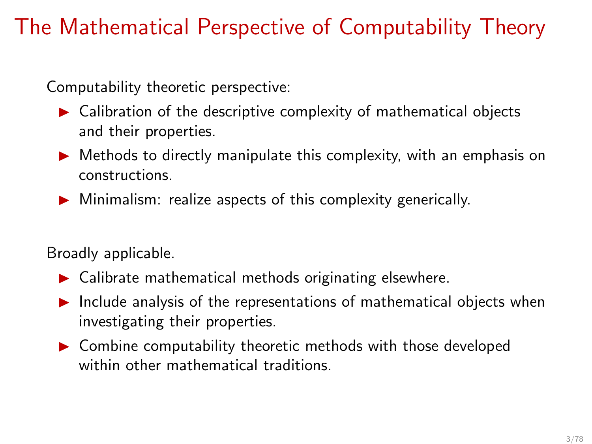# The Mathematical Perspective of Computability Theory

Computability theoretic perspective:

- $\blacktriangleright$  Calibration of the descriptive complexity of mathematical objects and their properties.
- $\triangleright$  Methods to directly manipulate this complexity, with an emphasis on constructions.
- $\triangleright$  Minimalism: realize aspects of this complexity generically.

Broadly applicable.

- $\blacktriangleright$  Calibrate mathematical methods originating elsewhere.
- $\blacktriangleright$  Include analysis of the representations of mathematical objects when investigating their properties.
- ▶ Combine computability theoretic methods with those developed within other mathematical traditions.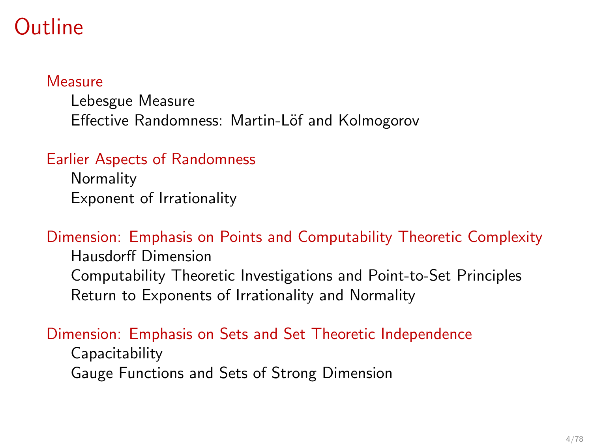### **Outline**

#### **[Measure](#page-4-0)**

[Lebesgue Measure](#page-5-0) Effective Randomness: Martin-Löf and Kolmogorov

### [Earlier Aspects of Randomness](#page-24-0)

**[Normality](#page-26-0)** [Exponent of Irrationality](#page-46-0)

### [Dimension: Emphasis on Points and Computability Theoretic Complexity](#page-48-0)

[Hausdorff Dimension](#page-49-0) [Computability Theoretic Investigations and Point-to-Set Principles](#page-57-0) [Return to Exponents of Irrationality and Normality](#page-68-0)

### [Dimension: Emphasis on Sets and Set Theoretic Independence](#page-79-0)

[Capacitability](#page-85-0) [Gauge Functions and Sets of Strong Dimension](#page-99-0)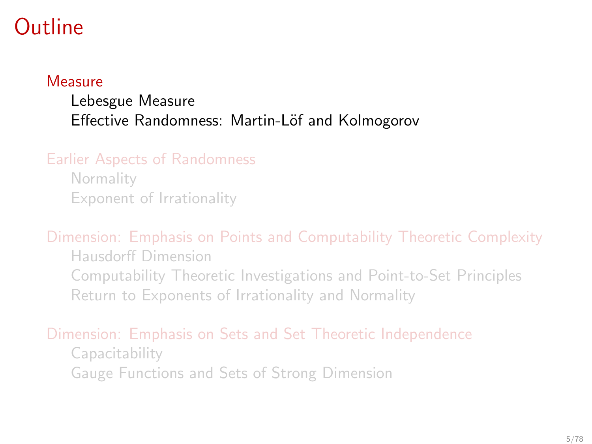## <span id="page-4-0"></span>Outline

#### **[Measure](#page-4-0)**

### [Lebesgue Measure](#page-5-0) Effective Randomness: Martin-Löf and Kolmogorov

### [Earlier Aspects of Randomness](#page-24-0)

**[Normality](#page-26-0)** [Exponent of Irrationality](#page-46-0)

#### [Dimension: Emphasis on Points and Computability Theoretic Complexity](#page-48-0)

[Hausdorff Dimension](#page-49-0) [Computability Theoretic Investigations and Point-to-Set Principles](#page-57-0) [Return to Exponents of Irrationality and Normality](#page-68-0)

### [Dimension: Emphasis on Sets and Set Theoretic Independence](#page-79-0)

[Capacitability](#page-85-0) [Gauge Functions and Sets of Strong Dimension](#page-99-0)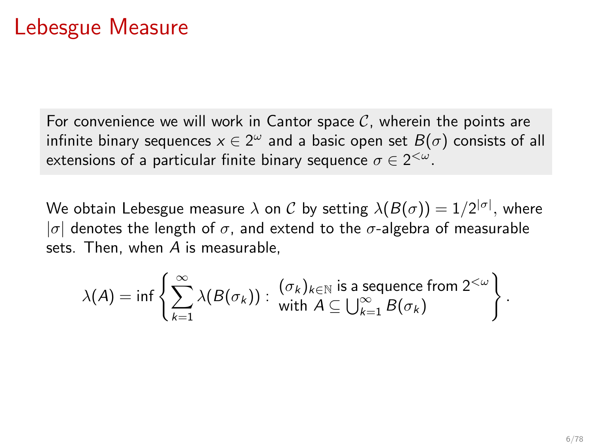### <span id="page-5-0"></span>Lebesgue Measure

For convenience we will work in Cantor space  $C$ , wherein the points are infinite binary sequences  $x\in 2^\omega$  and a basic open set  $B(\sigma)$  consists of all extensions of a particular finite binary sequence  $\sigma \in 2^{<\omega}.$ 

We obtain Lebesgue measure  $\lambda$  on  ${\cal C}$  by setting  $\lambda(B(\sigma))=1/2^{|\sigma|},$  where | $\sigma$ | denotes the length of  $\sigma$ , and extend to the  $\sigma$ -algebra of measurable sets. Then, when  $A$  is measurable,

$$
\lambda(A) = \inf \left\{ \sum_{k=1}^{\infty} \lambda(B(\sigma_k)) : \begin{array}{l} (\sigma_k)_{k \in \mathbb{N}} \text{ is a sequence from } 2^{<\omega} \\ \text{with } A \subseteq \bigcup_{k=1}^{\infty} B(\sigma_k) \end{array} \right\}.
$$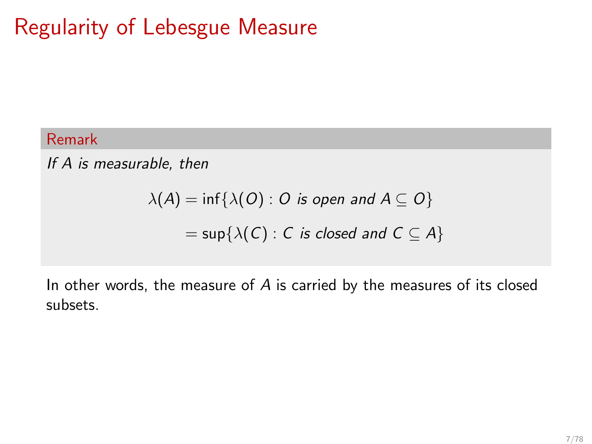# Regularity of Lebesgue Measure

### Remark

If A is measurable, then

$$
\lambda(A) = \inf \{ \lambda(O) : O \text{ is open and } A \subseteq O \}
$$
  
= sup{ $\lambda(C)$  : C is closed and  $C \subseteq A$ }

In other words, the measure of  $A$  is carried by the measures of its closed subsets.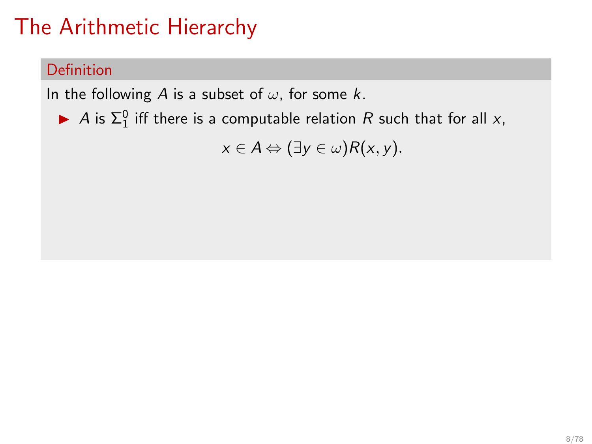### <span id="page-7-0"></span>Definition

In the following A is a subset of  $\omega$ , for some k.

A is  $\Sigma^0_1$  iff there is a computable relation R such that for all x,

 $x \in A \Leftrightarrow (\exists y \in \omega) R(x, y).$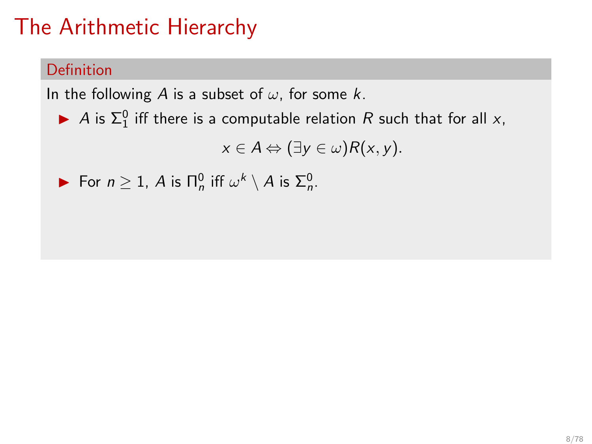### Definition

In the following A is a subset of  $\omega$ , for some k.

A is  $\Sigma^0_1$  iff there is a computable relation R such that for all x,

$$
x\in A \Leftrightarrow (\exists y\in\omega)R(x,y).
$$

**►** For  $n \ge 1$ , A is  $\prod_{n=1}^{n}$  if  $\omega^k \setminus A$  is  $\Sigma_n^0$ .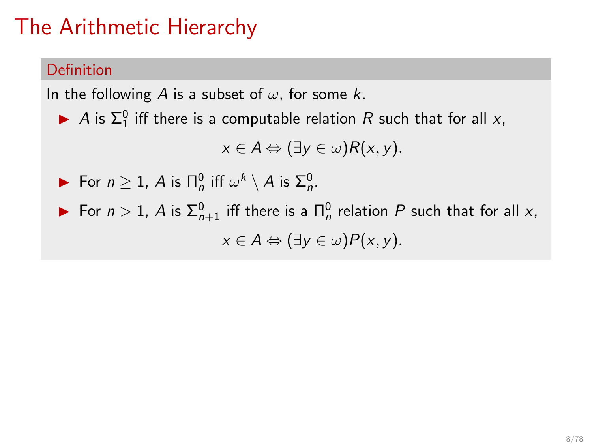### **Definition**

In the following A is a subset of  $\omega$ , for some k.

A is  $\Sigma^0_1$  iff there is a computable relation R such that for all x,

$$
x\in A \Leftrightarrow (\exists y\in\omega)R(x,y).
$$

**►** For  $n \ge 1$ , A is  $\prod_{n=1}^{n}$  if  $\omega^k \setminus A$  is  $\Sigma_n^0$ .

► For  $n > 1$ , A is  $\Sigma_{n+1}^0$  iff there is a  $\Pi_n^0$  relation P such that for all x,  $x \in A \Leftrightarrow (\exists y \in \omega) P(x, y).$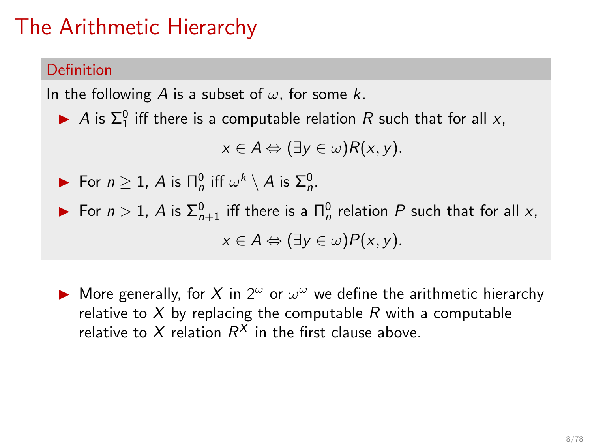#### Definition

In the following A is a subset of  $\omega$ , for some k.

A is  $\Sigma^0_1$  iff there is a computable relation R such that for all x,

$$
x\in A \Leftrightarrow (\exists y\in\omega)R(x,y).
$$

• For 
$$
n \ge 1
$$
, A is  $\Pi_n^0$  iff  $\omega^k \setminus A$  is  $\Sigma_n^0$ .

► For  $n > 1$ , A is  $\Sigma_{n+1}^0$  iff there is a  $\Pi_n^0$  relation P such that for all x,  $x \in A \Leftrightarrow (\exists y \in \omega) P(x, y).$ 

A More generally, for X in  $2^{\omega}$  or  $\omega^{\omega}$  we define the arithmetic hierarchy relative to X by replacing the computable R with a computable relative to X relation  $R^X$  in the first clause above.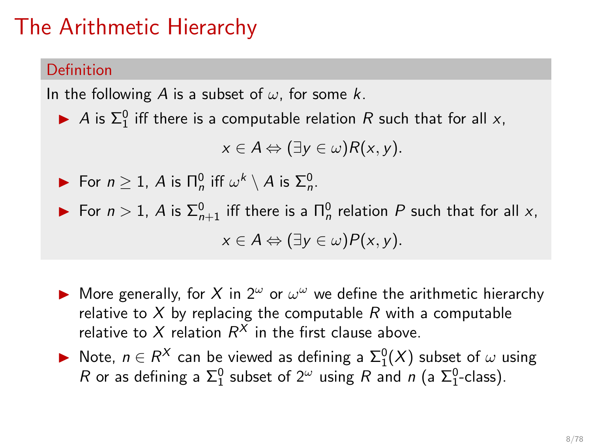### Definition

In the following A is a subset of  $\omega$ , for some k.

A is  $\Sigma^0_1$  iff there is a computable relation R such that for all x,

$$
x\in A \Leftrightarrow (\exists y\in\omega)R(x,y).
$$

• For 
$$
n \ge 1
$$
, A is  $\Pi_n^0$  iff  $\omega^k \setminus A$  is  $\Sigma_n^0$ .

► For  $n > 1$ , A is  $\Sigma_{n+1}^0$  iff there is a  $\Pi_n^0$  relation P such that for all x,  $x \in A \Leftrightarrow (\exists y \in \omega) P(x, y).$ 

- A More generally, for X in  $2^{\omega}$  or  $\omega^{\omega}$  we define the arithmetic hierarchy relative to X by replacing the computable R with a computable relative to X relation  $R^X$  in the first clause above.
- ▶ Note,  $n \in R^X$  can be viewed as defining a  $\Sigma^0_1(X)$  subset of  $\omega$  using R or as defining a  $\Sigma_1^0$  subset of  $2^\omega$  using R and n (a  $\Sigma_1^0$ -class).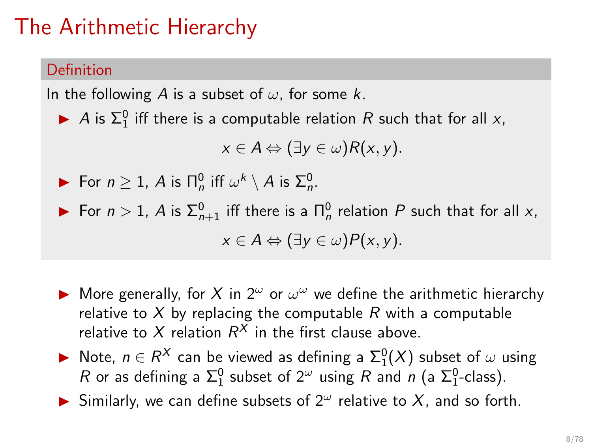### Definition

In the following A is a subset of  $\omega$ , for some k.

A is  $\Sigma^0_1$  iff there is a computable relation R such that for all x,

$$
x\in A \Leftrightarrow (\exists y\in\omega)R(x,y).
$$

• For 
$$
n \ge 1
$$
, A is  $\Pi_n^0$  iff  $\omega^k \setminus A$  is  $\Sigma_n^0$ .

► For  $n > 1$ , A is  $\Sigma_{n+1}^0$  iff there is a  $\Pi_n^0$  relation P such that for all x,  $x \in A \Leftrightarrow (\exists y \in \omega) P(x, y).$ 

- A More generally, for X in  $2^{\omega}$  or  $\omega^{\omega}$  we define the arithmetic hierarchy relative to X by replacing the computable R with a computable relative to X relation  $R^X$  in the first clause above.
- ▶ Note,  $n \in R^X$  can be viewed as defining a  $\Sigma^0_1(X)$  subset of  $\omega$  using R or as defining a  $\Sigma_1^0$  subset of  $2^\omega$  using R and n (a  $\Sigma_1^0$ -class).
- $\blacktriangleright$  Similarly, we can define subsets of  $2^{\omega}$  relative to X, and so forth.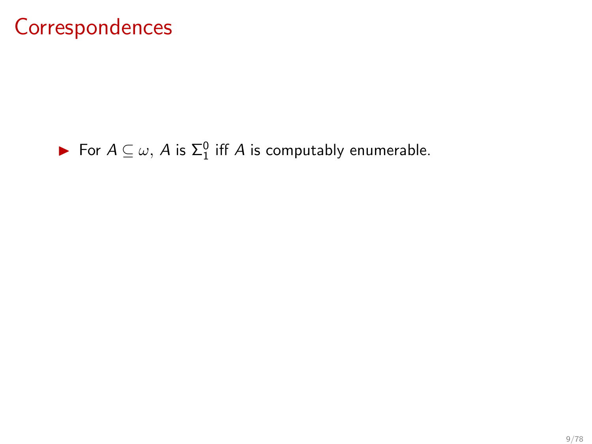### **Correspondences**

### ► For  $A \subseteq \omega$ , A is  $\Sigma_1^0$  iff A is computably enumerable.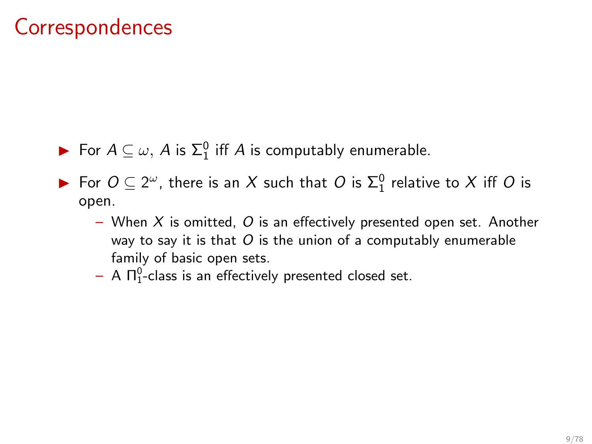### **Correspondences**

- ► For  $A \subseteq \omega$ , A is  $\Sigma_1^0$  iff A is computably enumerable.
- ► For  $O \subseteq 2^{\omega}$ , there is an X such that  $O$  is  $\Sigma^0$  relative to X iff O is open.
	- When  $X$  is omitted,  $O$  is an effectively presented open set. Another way to say it is that  $O$  is the union of a computably enumerable family of basic open sets.
	- $-$  A  $\Pi^0_1$ -class is an effectively presented closed set.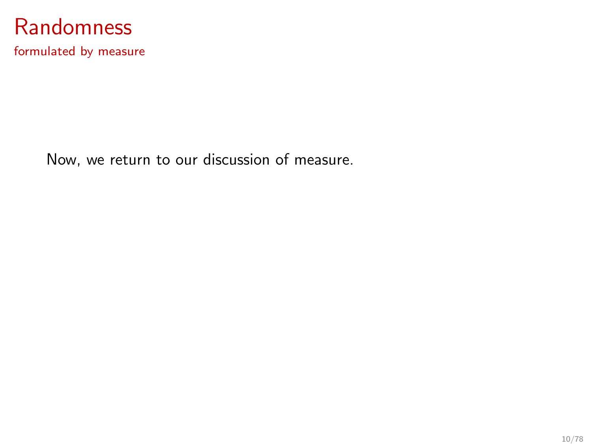

formulated by measure

Now, we return to our discussion of measure.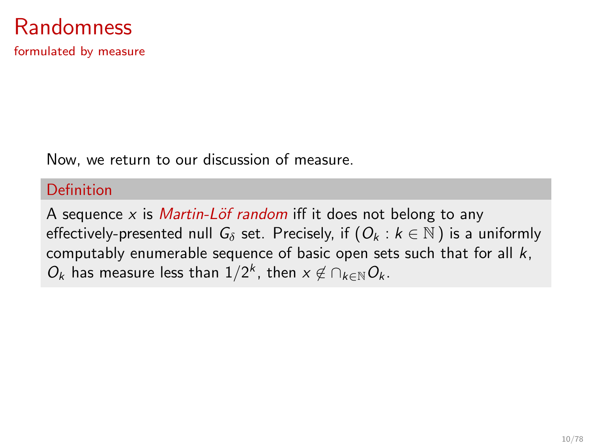### Randomness

formulated by measure

Now, we return to our discussion of measure.

#### Definition

A sequence x is *Martin-Löf random* iff it does not belong to any effectively-presented null  $G_{\delta}$  set. Precisely, if  $(O_k : k \in \mathbb{N})$  is a uniformly computably enumerable sequence of basic open sets such that for all  $k$ ,  $O_k$  has measure less than  $1/2^k$ , then  $x \notin \bigcap_{k \in \mathbb{N}} O_k$ .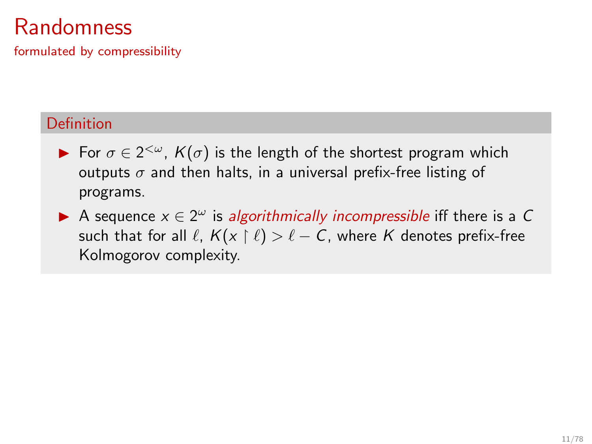## **Randomness**

formulated by compressibility

### Definition

- ► For  $\sigma \in 2^{<\omega}$ ,  $K(\sigma)$  is the length of the shortest program which outputs  $\sigma$  and then halts, in a universal prefix-free listing of programs.
- A sequence  $x \in 2^{\omega}$  is algorithmically incompressible iff there is a C such that for all  $\ell$ ,  $K(x \restriction \ell) > \ell - C$ , where K denotes prefix-free Kolmogorov complexity.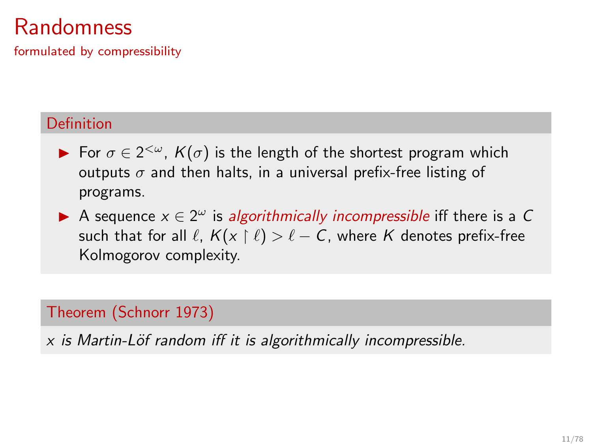## **Randomness**

formulated by compressibility

#### Definition

- ► For  $\sigma \in 2^{<\omega}$ ,  $K(\sigma)$  is the length of the shortest program which outputs  $\sigma$  and then halts, in a universal prefix-free listing of programs.
- A sequence  $x \in 2^{\omega}$  is algorithmically incompressible iff there is a C such that for all  $\ell$ ,  $K(x \restriction \ell) > \ell - C$ , where K denotes prefix-free Kolmogorov complexity.

#### Theorem (Schnorr 1973)

 $x$  is Martin-Löf random iff it is algorithmically incompressible.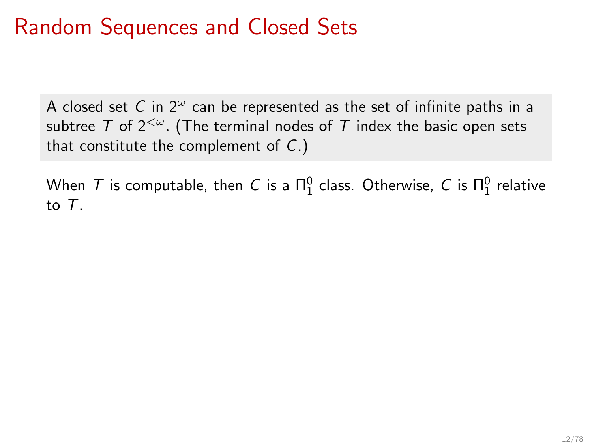# Random Sequences and Closed Sets

A closed set C in  $2^{\omega}$  can be represented as the set of infinite paths in a subtree T of  $2^{&\omega}$ . (The terminal nodes of T index the basic open sets that constitute the complement of  $C$ .)

When  $\mathcal T$  is computable, then  $C$  is a  $\Pi^0_1$  class. Otherwise,  $C$  is  $\Pi^0_1$  relative to T.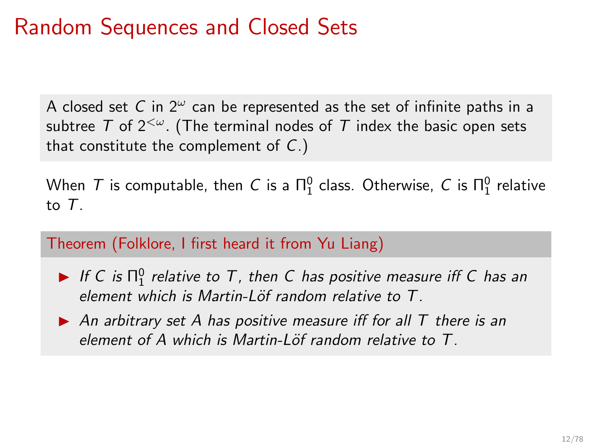# Random Sequences and Closed Sets

A closed set C in  $2^{\omega}$  can be represented as the set of infinite paths in a subtree T of  $2^{&\omega}$ . (The terminal nodes of T index the basic open sets that constitute the complement of  $C$ .)

When  $\mathcal T$  is computable, then  $C$  is a  $\Pi^0_1$  class. Otherwise,  $C$  is  $\Pi^0_1$  relative to T.

Theorem (Folklore, I first heard it from Yu Liang)

- $\blacktriangleright$  If C is  $\Pi^0_1$  relative to T, then C has positive measure iff C has an element which is Martin-Löf random relative to  $T$ .
- $\triangleright$  An arbitrary set A has positive measure iff for all T there is an element of A which is Martin-Löf random relative to  $T$ .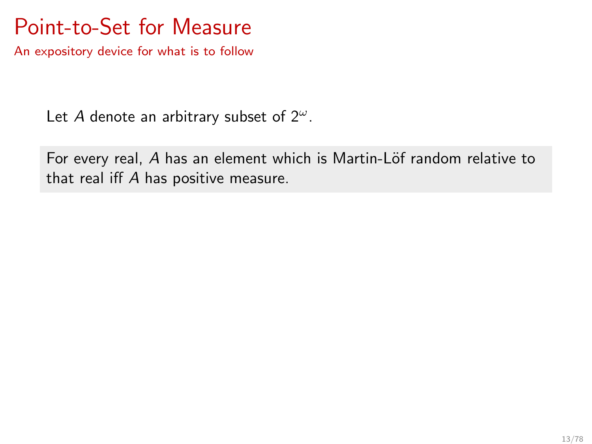## Point-to-Set for Measure

An expository device for what is to follow

Let A denote an arbitrary subset of  $2^{\omega}$ .

For every real, A has an element which is Martin-Löf random relative to that real iff A has positive measure.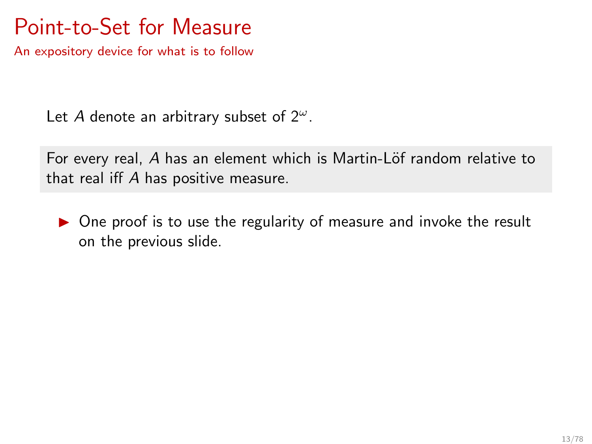# Point-to-Set for Measure

An expository device for what is to follow

Let A denote an arbitrary subset of  $2^{\omega}$ .

For every real, A has an element which is Martin-Löf random relative to that real iff A has positive measure.

 $\triangleright$  One proof is to use the regularity of measure and invoke the result on the previous slide.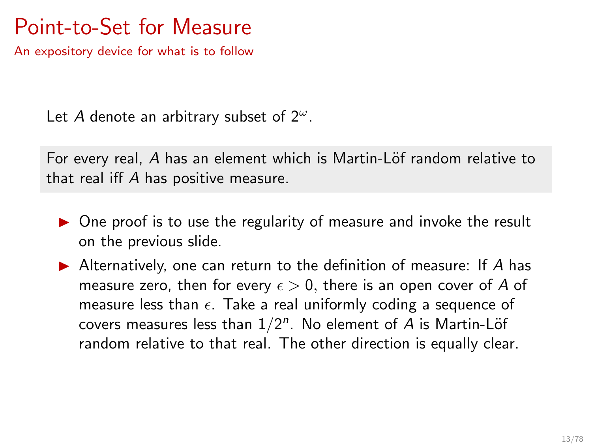# Point-to-Set for Measure

An expository device for what is to follow

Let A denote an arbitrary subset of  $2^{\omega}$ .

For every real, A has an element which is Martin-Löf random relative to that real iff A has positive measure.

- ▶ One proof is to use the regularity of measure and invoke the result on the previous slide.
- $\blacktriangleright$  Alternatively, one can return to the definition of measure: If A has measure zero, then for every  $\epsilon > 0$ , there is an open cover of A of measure less than  $\epsilon$ . Take a real uniformly coding a sequence of covers measures less than  $1/2^n$ . No element of A is Martin-Löf random relative to that real. The other direction is equally clear.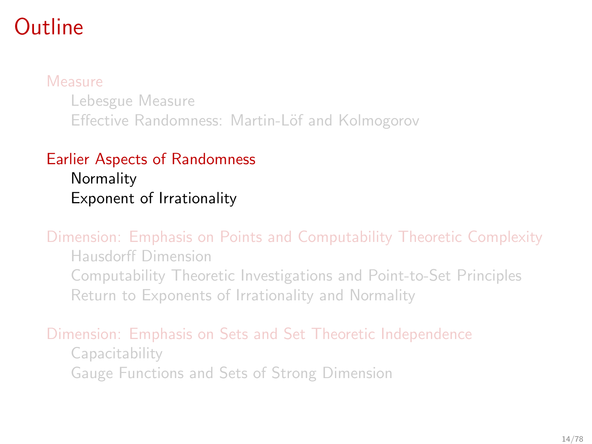# <span id="page-24-0"></span>Outline

#### [Measure](#page-4-0)

[Lebesgue Measure](#page-5-0) Effective Randomness: Martin-Löf and Kolmogorov

### [Earlier Aspects of Randomness](#page-24-0)

**[Normality](#page-26-0)** [Exponent of Irrationality](#page-46-0)

[Dimension: Emphasis on Points and Computability Theoretic Complexity](#page-48-0)

[Hausdorff Dimension](#page-49-0) [Computability Theoretic Investigations and Point-to-Set Principles](#page-57-0) [Return to Exponents of Irrationality and Normality](#page-68-0)

### [Dimension: Emphasis on Sets and Set Theoretic Independence](#page-79-0)

[Capacitability](#page-85-0) [Gauge Functions and Sets of Strong Dimension](#page-99-0)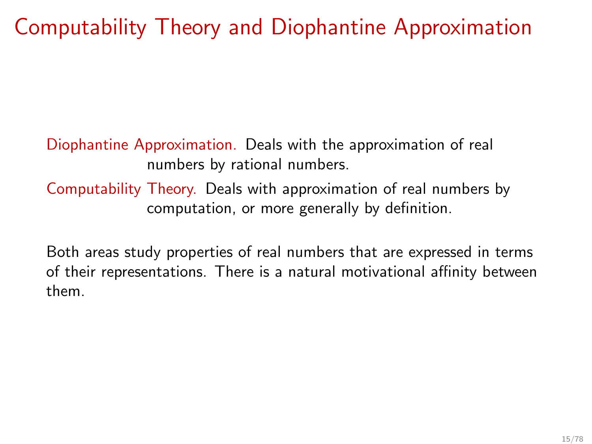# Computability Theory and Diophantine Approximation

Diophantine Approximation. Deals with the approximation of real numbers by rational numbers. Computability Theory. Deals with approximation of real numbers by computation, or more generally by definition.

Both areas study properties of real numbers that are expressed in terms of their representations. There is a natural motivational affinity between them.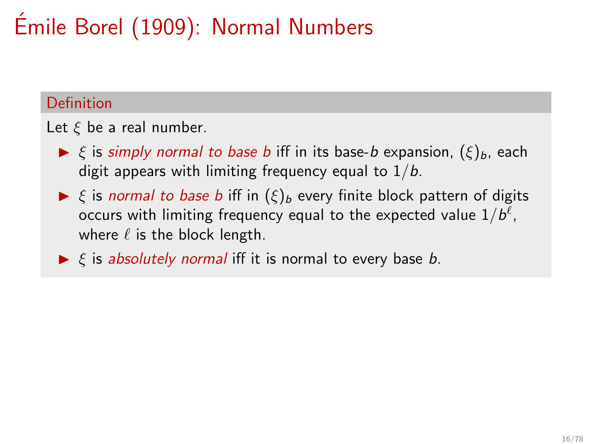# <span id="page-26-0"></span>Emile Borel (1909): Normal Numbers ´

### Definition

Let  $\xi$  be a real number.

- $\triangleright \xi$  is simply normal to base b iff in its base-b expansion,  $(\xi)_b$ , each digit appears with limiting frequency equal to  $1/b$ .
- $\triangleright$  ξ is normal to base b iff in  $(\xi)_b$  every finite block pattern of digits occurs with limiting frequency equal to the expected value  $1/b^{\ell}$ , where  $\ell$  is the block length.
- $\triangleright$   $\xi$  is absolutely normal iff it is normal to every base b.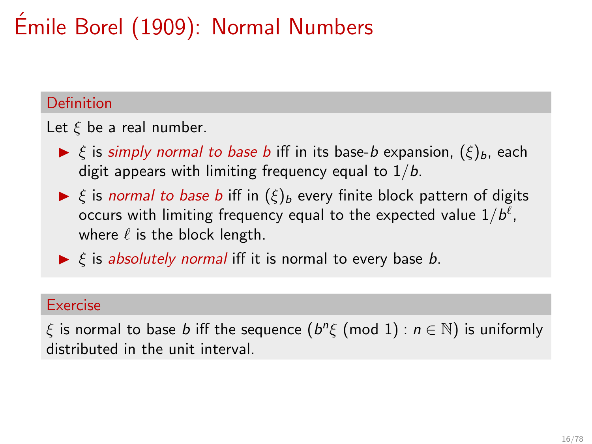# Emile Borel (1909): Normal Numbers ´

### Definition

Let  $\xi$  be a real number.

- $\triangleright \xi$  is simply normal to base b iff in its base-b expansion,  $(\xi)_b$ , each digit appears with limiting frequency equal to  $1/b$ .
- $\triangleright$  ξ is normal to base b iff in  $(\xi)_b$  every finite block pattern of digits occurs with limiting frequency equal to the expected value  $1/b^{\ell}$ , where  $\ell$  is the block length.
- $\triangleright$   $\xi$  is absolutely normal iff it is normal to every base b.

#### Exercise

 $\xi$  is normal to base  $b$  iff the sequence  $(b^n\xi \pmod{1} : n \in \mathbb{N})$  is uniformly distributed in the unit interval.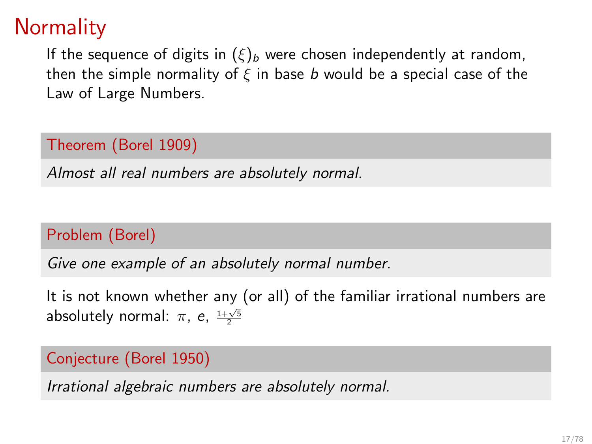# **Normality**

If the sequence of digits in  $(\xi)_b$  were chosen independently at random, then the simple normality of  $\xi$  in base b would be a special case of the Law of Large Numbers.

### Theorem (Borel 1909)

Almost all real numbers are absolutely normal.

### Problem (Borel)

Give one example of an absolutely normal number.

It is not known whether any (or all) of the familiar irrational numbers are absolutely normal:  $\pi$ , e,  $\frac{1+\sqrt{5}}{2}$ 

### Conjecture (Borel 1950)

Irrational algebraic numbers are absolutely normal.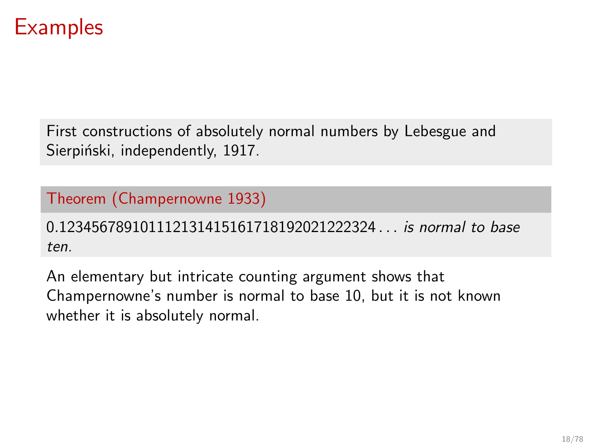### **Examples**

First constructions of absolutely normal numbers by Lebesgue and Sierpiński, independently, 1917.

### Theorem (Champernowne 1933)

0.123456789101112131415161718192021222324 . . . is normal to base ten.

An elementary but intricate counting argument shows that Champernowne's number is normal to base 10, but it is not known whether it is absolutely normal.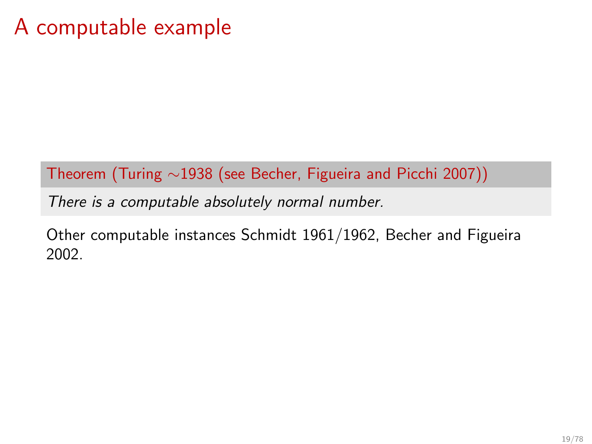### A computable example

Theorem (Turing ∼1938 (see Becher, Figueira and Picchi 2007))

There is a computable absolutely normal number.

Other computable instances Schmidt 1961/1962, Becher and Figueira 2002.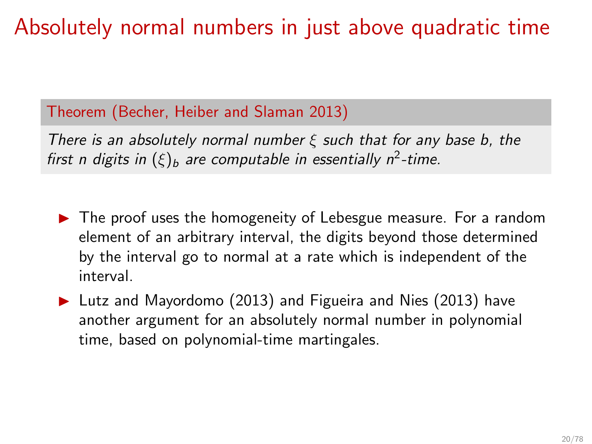# Absolutely normal numbers in just above quadratic time

### Theorem (Becher, Heiber and Slaman 2013)

There is an absolutely normal number  $\xi$  such that for any base b, the first n digits in  $(\xi)_b$  are computable in essentially n<sup>2</sup>-time.

- ▶ The proof uses the homogeneity of Lebesgue measure. For a random element of an arbitrary interval, the digits beyond those determined by the interval go to normal at a rate which is independent of the interval.
- ▶ Lutz and Mayordomo (2013) and Figueira and Nies (2013) have another argument for an absolutely normal number in polynomial time, based on polynomial-time martingales.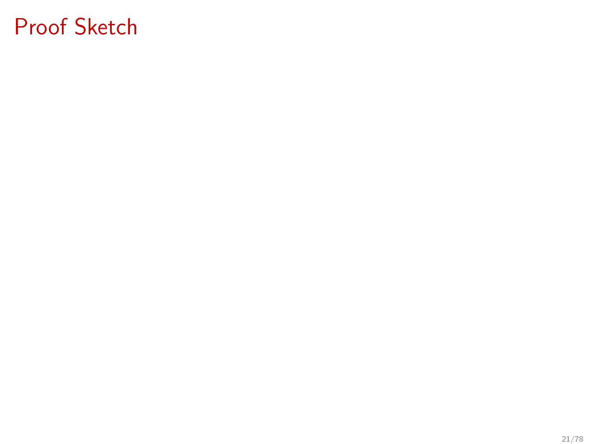# Proof Sketch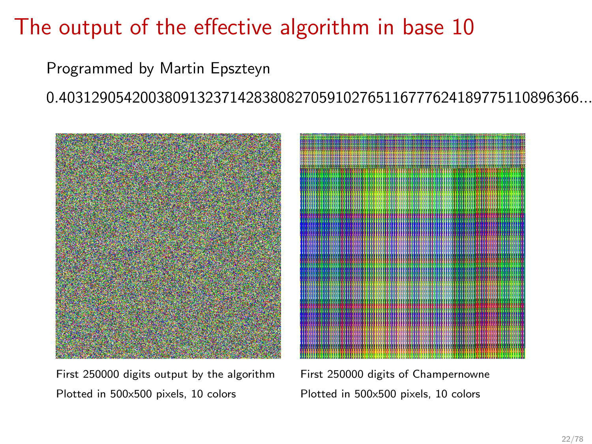# The output of the effective algorithm in base 10

Programmed by Martin Epszteyn

0.4031290542003809132371428380827059102765116777624189775110896366...



First 250000 digits output by the algorithm First 250000 digits of Champernowne Plotted in 500x500 pixels, 10 colors Plotted in 500x500 pixels, 10 colors

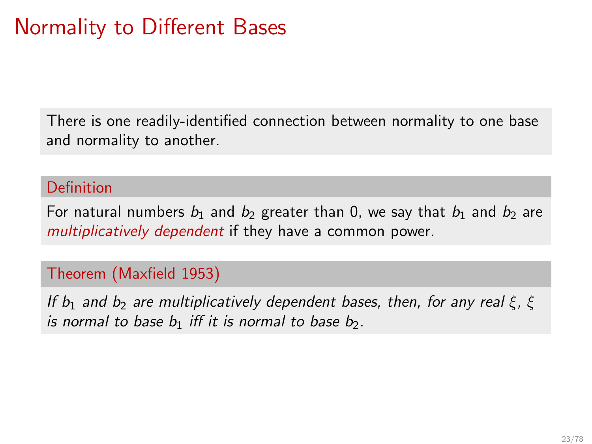# Normality to Different Bases

There is one readily-identified connection between normality to one base and normality to another.

#### Definition

For natural numbers  $b_1$  and  $b_2$  greater than 0, we say that  $b_1$  and  $b_2$  are multiplicatively dependent if they have a common power.

#### Theorem (Maxfield 1953)

If  $b_1$  and  $b_2$  are multiplicatively dependent bases, then, for any real  $\xi$ ,  $\xi$ is normal to base  $b_1$  iff it is normal to base  $b_2$ .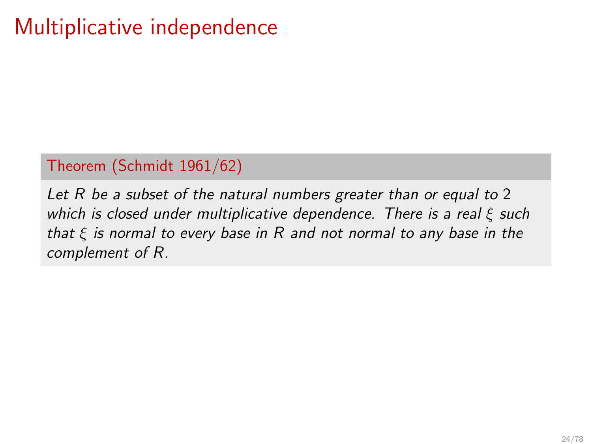# Multiplicative independence

#### Theorem (Schmidt 1961/62)

Let R be a subset of the natural numbers greater than or equal to 2 which is closed under multiplicative dependence. There is a real  $\xi$  such that  $\xi$  is normal to every base in R and not normal to any base in the complement of R.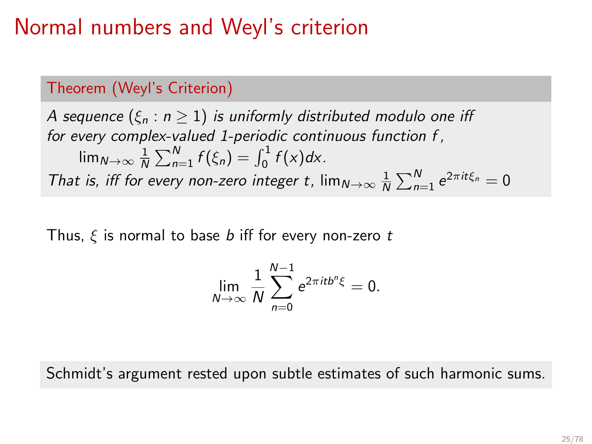## Normal numbers and Weyl's criterion

### Theorem (Weyl's Criterion)

A sequence  $(\xi_n : n \geq 1)$  is uniformly distributed modulo one iff for every complex-valued 1-periodic continuous function f ,  $\lim_{N \to \infty} \frac{1}{N} \sum_{n=1}^{N} f(\xi_n) = \int_0^1 f(x) dx$ . That is, iff for every non-zero integer t,  $\lim_{N\to\infty} \frac{1}{N} \sum_{n=1}^{N} e^{2\pi i t \xi_n} = 0$ 

Thus,  $\xi$  is normal to base b iff for every non-zero t

$$
\lim_{N\to\infty}\frac{1}{N}\sum_{n=0}^{N-1}e^{2\pi itb^{n}\xi}=0.
$$

Schmidt's argument rested upon subtle estimates of such harmonic sums.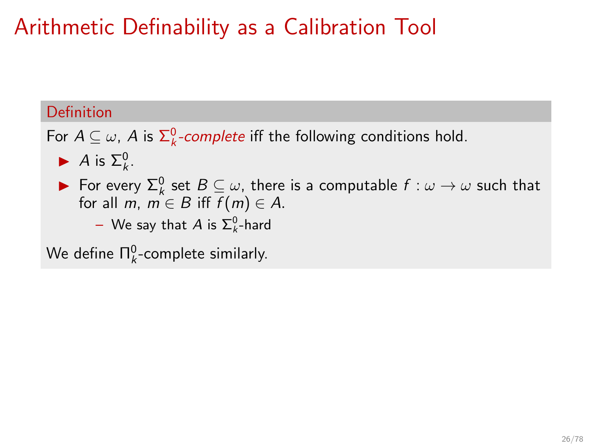# Arithmetic Definability as a Calibration Tool

#### Definition

For  $A \subseteq \omega$ , A is  $\sum_{k}^{0}$ -complete iff the following conditions hold.

- A is  $\Sigma_k^0$ .
- **►** For every  $\Sigma_k^0$  set  $B \subseteq \omega$ , there is a computable  $f : \omega \to \omega$  such that for all m,  $m \in B$  iff  $f(m) \in A$ .
	- $-$  We say that  $A$  is  $\Sigma^0_k$ -hard

We define  $\Pi_k^0$ -complete similarly.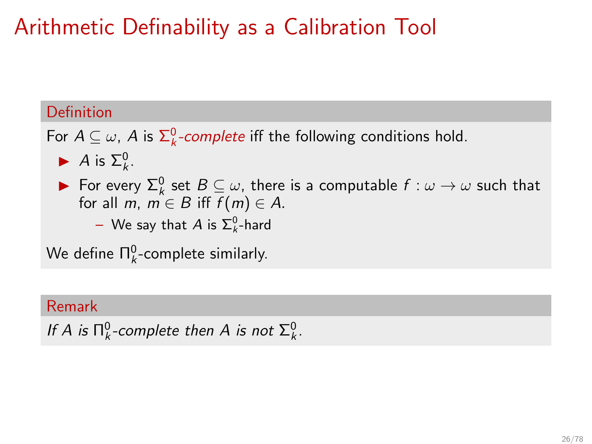# Arithmetic Definability as a Calibration Tool

#### Definition

For  $A \subseteq \omega$ , A is  $\sum_{k}^{0}$ -complete iff the following conditions hold.

- A is  $\Sigma_k^0$ .
- **►** For every  $\Sigma_k^0$  set  $B \subseteq \omega$ , there is a computable  $f : \omega \to \omega$  such that for all m,  $m \in B$  iff  $f(m) \in A$ .
	- $-$  We say that  $A$  is  $\Sigma^0_k$ -hard

We define  $\Pi_k^0$ -complete similarly.

#### Remark

If A is  $\Pi_k^0$ -complete then A is not  $\Sigma_k^0$ .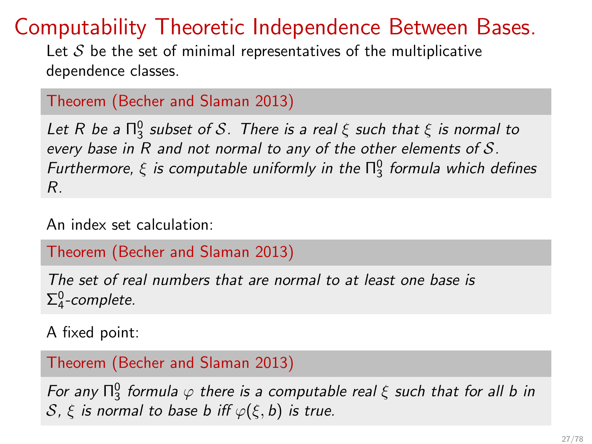## Computability Theoretic Independence Between Bases.

Let  $S$  be the set of minimal representatives of the multiplicative dependence classes.

```
Theorem (Becher and Slaman 2013)
```
Let R be a  $\Pi^0_3$  subset of S. There is a real  $\xi$  such that  $\xi$  is normal to every base in R and not normal to any of the other elements of S. Furthermore,  $\xi$  is computable uniformly in the  $\Pi^0_3$  formula which defines R.

An index set calculation:

Theorem (Becher and Slaman 2013)

The set of real numbers that are normal to at least one base is  $\Sigma^0_4$ -complete.

A fixed point:

Theorem (Becher and Slaman 2013)

For any  $\Pi^0_3$  formula  $\varphi$  there is a computable real  $\xi$  such that for all b in S,  $\xi$  is normal to base b iff  $\varphi(\xi, b)$  is true.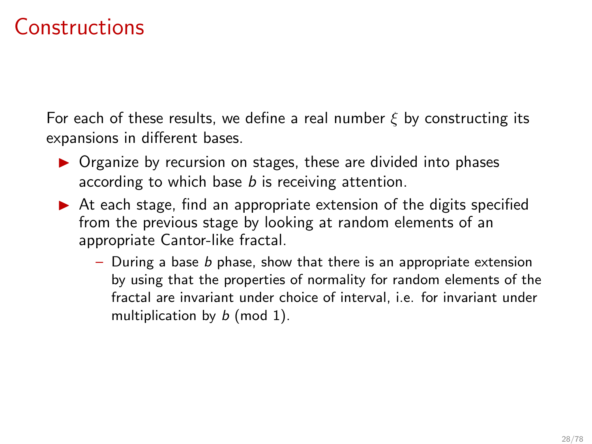## Constructions

For each of these results, we define a real number  $\xi$  by constructing its expansions in different bases.

- ▶ Organize by recursion on stages, these are divided into phases according to which base *b* is receiving attention.
- $\triangleright$  At each stage, find an appropriate extension of the digits specified from the previous stage by looking at random elements of an appropriate Cantor-like fractal.
	- During a base  $b$  phase, show that there is an appropriate extension by using that the properties of normality for random elements of the fractal are invariant under choice of interval, i.e. for invariant under multiplication by  $b$  (mod 1).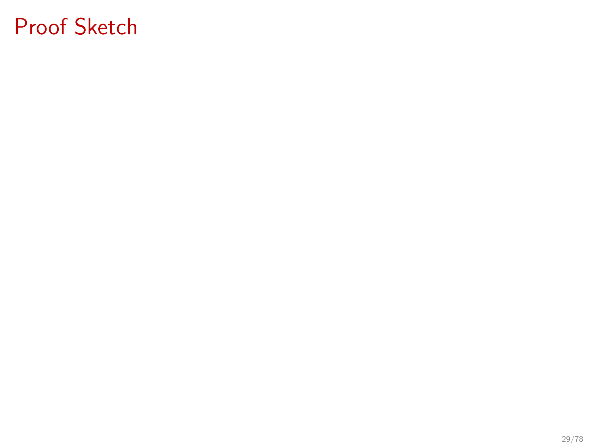# Proof Sketch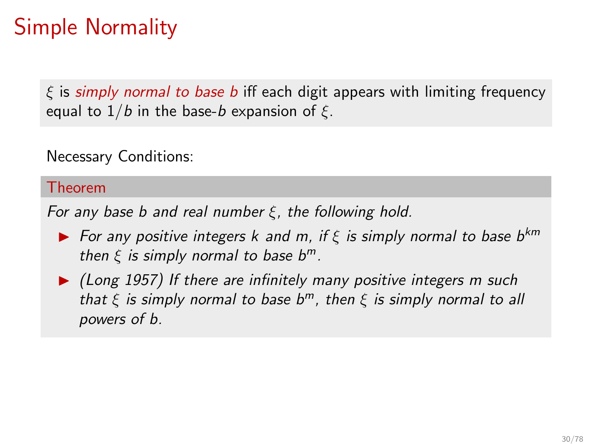# Simple Normality

 $\xi$  is simply normal to base b iff each digit appears with limiting frequency equal to  $1/b$  in the base-b expansion of  $\xi$ .

Necessary Conditions:

#### Theorem

For any base b and real number  $\xi$ , the following hold.

- **►** For any positive integers k and m, if  $\xi$  is simply normal to base b<sup>km</sup> then  $\xi$  is simply normal to base  $b^m$ .
- ▶ (Long 1957) If there are infinitely many positive integers m such that  $\xi$  is simply normal to base  $b^m$ , then  $\xi$  is simply normal to all powers of b.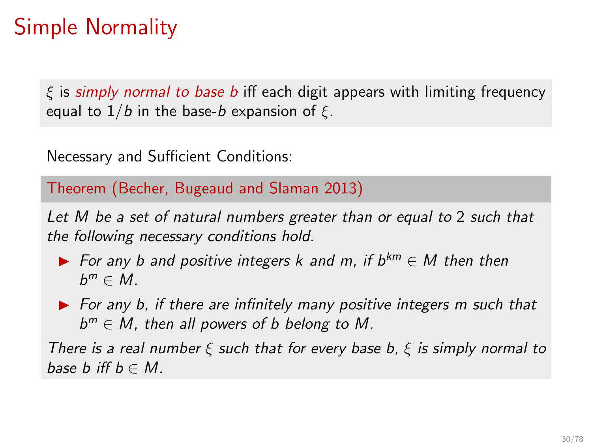# Simple Normality

 $\xi$  is simply normal to base b iff each digit appears with limiting frequency equal to  $1/b$  in the base-b expansion of  $\xi$ .

Necessary and Sufficient Conditions:

Theorem (Becher, Bugeaud and Slaman 2013)

Let M be a set of natural numbers greater than or equal to 2 such that the following necessary conditions hold.

- ▶ For any b and positive integers k and m, if  $b^{km} \in M$  then then  $b^m \in M$ .
- ▶ For any b, if there are infinitely many positive integers m such that  $b^m \in M$ , then all powers of b belong to M.

There is a real number  $\xi$  such that for every base b,  $\xi$  is simply normal to base b iff  $b \in M$ .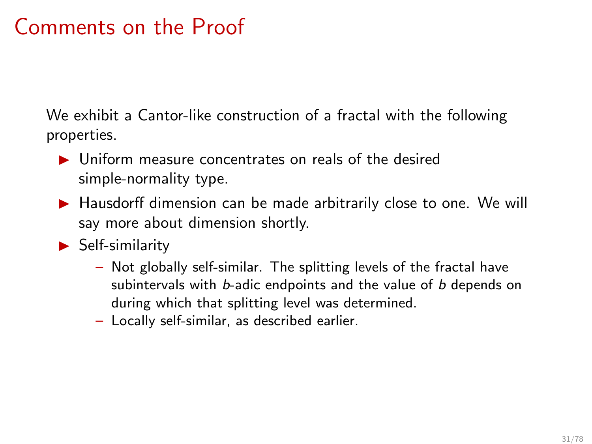## Comments on the Proof

We exhibit a Cantor-like construction of a fractal with the following properties.

- ▶ Uniform measure concentrates on reals of the desired simple-normality type.
- ▶ Hausdorff dimension can be made arbitrarily close to one. We will say more about dimension shortly.
- ▶ Self-similarity
	- Not globally self-similar. The splitting levels of the fractal have subintervals with b-adic endpoints and the value of b depends on during which that splitting level was determined.
	- Locally self-similar, as described earlier.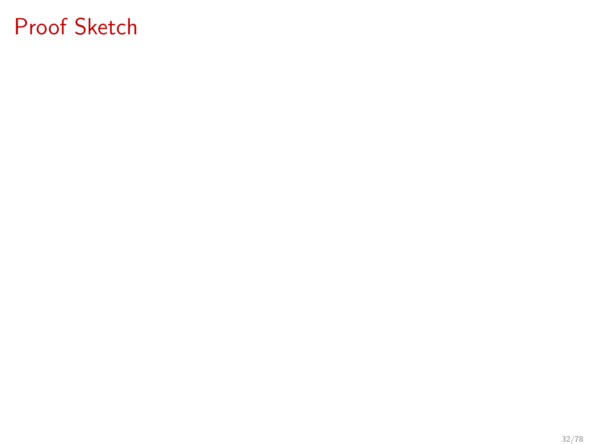# Proof Sketch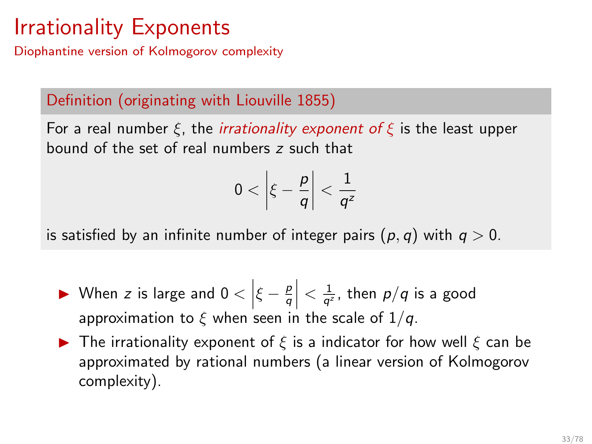# <span id="page-46-0"></span>Irrationality Exponents

Diophantine version of Kolmogorov complexity

### Definition (originating with Liouville 1855)

For a real number  $\xi$ , the *irrationality exponent of*  $\xi$  is the least upper bound of the set of real numbers z such that

$$
0<\left|\xi-\frac{p}{q}\right|<\frac{1}{q^2}
$$

is satisfied by an infinite number of integer pairs  $(p, q)$  with  $q > 0$ .

- ► When z is large and  $0 < |\xi \frac{p}{q}| < \frac{1}{q^2}$ , then  $p/q$  is a good approximation to  $\xi$  when seen in the scale of  $1/q$ .
- $\triangleright$  The irrationality exponent of  $\xi$  is a indicator for how well  $\xi$  can be approximated by rational numbers (a linear version of Kolmogorov complexity).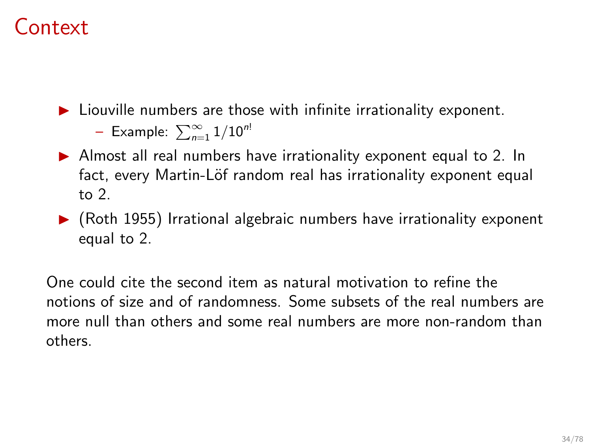## Context

 $\blacktriangleright$  Liouville numbers are those with infinite irrationality exponent.

– Example:  $\sum_{n=1}^{\infty} 1/10^{n!}$ 

- ▶ Almost all real numbers have irrationality exponent equal to 2. In fact, every Martin-Löf random real has irrationality exponent equal to 2.
- $\triangleright$  (Roth 1955) Irrational algebraic numbers have irrationality exponent equal to 2.

One could cite the second item as natural motivation to refine the notions of size and of randomness. Some subsets of the real numbers are more null than others and some real numbers are more non-random than others.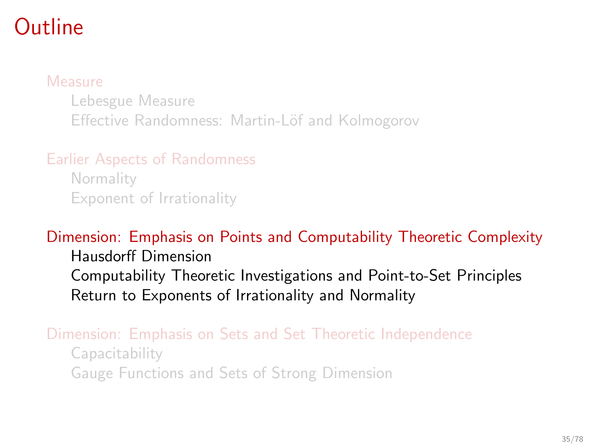## <span id="page-48-0"></span>**Outline**

#### [Measure](#page-4-0)

[Lebesgue Measure](#page-5-0) Effective Randomness: Martin-Löf and Kolmogorov

[Earlier Aspects of Randomness](#page-24-0)

**[Normality](#page-26-0)** [Exponent of Irrationality](#page-46-0)

### [Dimension: Emphasis on Points and Computability Theoretic Complexity](#page-48-0)

[Hausdorff Dimension](#page-49-0) [Computability Theoretic Investigations and Point-to-Set Principles](#page-57-0) [Return to Exponents of Irrationality and Normality](#page-68-0)

#### [Dimension: Emphasis on Sets and Set Theoretic Independence](#page-79-0) [Capacitability](#page-85-0)

[Gauge Functions and Sets of Strong Dimension](#page-99-0)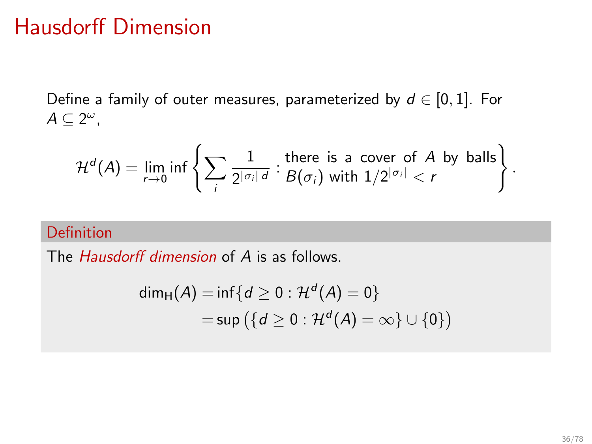### <span id="page-49-0"></span>Hausdorff Dimension

Define a family of outer measures, parameterized by  $d \in [0, 1]$ . For  $A \subseteq 2^{\omega}$ ,

$$
\mathcal{H}^d(A) = \lim_{r \to 0} \inf \left\{ \sum_i \frac{1}{2^{|\sigma_i| \, d}} : \text{there is a cover of } A \text{ by balls} \right\}.
$$

#### Definition

The *Hausdorff dimension* of A is as follows.

$$
\begin{aligned} \dim_{\mathrm{H}}(A) &= \inf \{ d \ge 0 : \mathcal{H}^d(A) = 0 \} \\ &= \sup \left( \{ d \ge 0 : \mathcal{H}^d(A) = \infty \} \cup \{ 0 \} \right) \end{aligned}
$$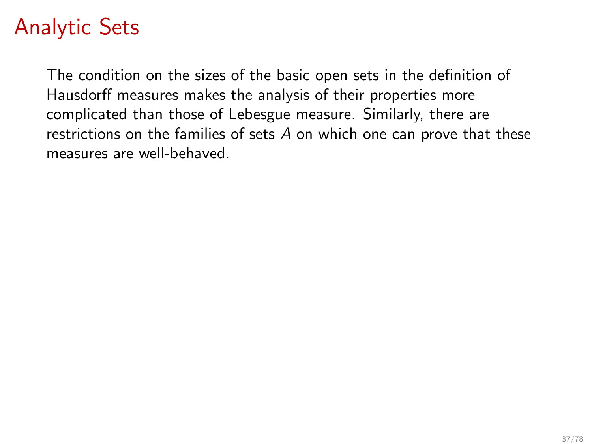# Analytic Sets

The condition on the sizes of the basic open sets in the definition of Hausdorff measures makes the analysis of their properties more complicated than those of Lebesgue measure. Similarly, there are restrictions on the families of sets A on which one can prove that these measures are well-behaved.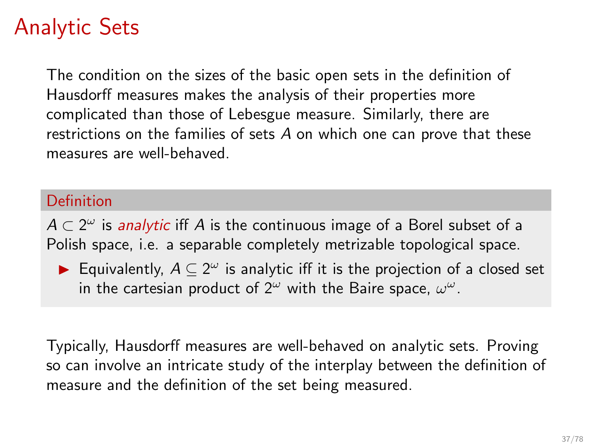# Analytic Sets

The condition on the sizes of the basic open sets in the definition of Hausdorff measures makes the analysis of their properties more complicated than those of Lebesgue measure. Similarly, there are restrictions on the families of sets  $A$  on which one can prove that these measures are well-behaved.

#### Definition

 $A \subset 2^\omega$  is *analytic* iff  $A$  is the continuous image of a Borel subset of a Polish space, i.e. a separable completely metrizable topological space.

▶ Equivalently,  $A \subseteq 2^{\omega}$  is analytic iff it is the projection of a closed set in the cartesian product of  $2^{\omega}$  with the Baire space,  $\omega^{\omega}$ .

Typically, Hausdorff measures are well-behaved on analytic sets. Proving so can involve an intricate study of the interplay between the definition of measure and the definition of the set being measured.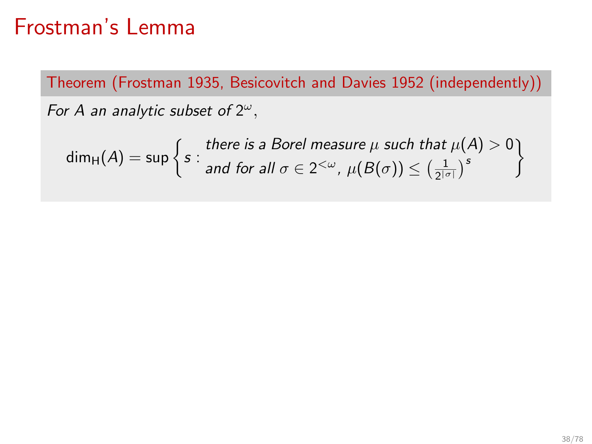### Frostman's Lemma

Theorem (Frostman 1935, Besicovitch and Davies 1952 (independently)) For A an analytic subset of  $2^\omega$ ,

 $\mathsf{dim}_\mathsf{H}(\mathcal{A}) = \mathsf{sup} \, \Big\{ s :$ there is a Borel measure  $\mu$  such that  $\mu(\mathcal{A})>0$ and for all  $\sigma \in 2^{<\omega}$ ,  $\mu(B(\sigma)) \leq \left(\frac{1}{2^{|\sigma|}}\right)^s$  $\mathcal{L}$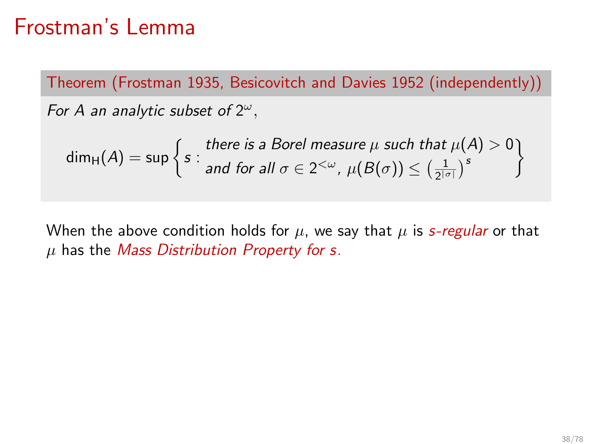### Frostman's Lemma

Theorem (Frostman 1935, Besicovitch and Davies 1952 (independently)) For A an analytic subset of  $2^\omega$ ,

$$
\dim_{\mathrm{H}}(A) = \sup \left\{ s : \begin{matrix} \text{there is a Borel measure } \mu \text{ such that } \mu(A) > 0 \\ \text{and for all } \sigma \in 2^{<\omega}, \ \mu(B(\sigma)) \leq \left(\frac{1}{2^{|\sigma|}}\right)^s \end{matrix} \right\}
$$

When the above condition holds for  $\mu$ , we say that  $\mu$  is s-regular or that  $\mu$  has the *Mass Distribution Property for s.*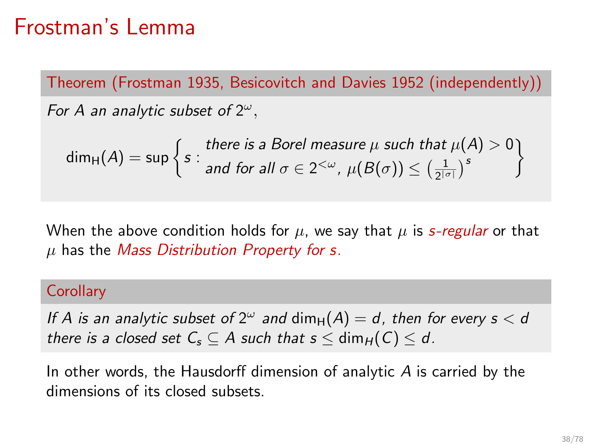## Frostman's Lemma

Theorem (Frostman 1935, Besicovitch and Davies 1952 (independently)) For A an analytic subset of  $2^\omega$ ,

$$
\dim_{\mathrm{H}}(A) = \sup \left\{ s : \text{ there is a Borel measure } \mu \text{ such that } \mu(A) > 0 \right\}
$$
  
and for all  $\sigma \in 2^{<\omega}$ ,  $\mu(B(\sigma)) \leq \left(\frac{1}{2^{|\sigma|}}\right)^s$ 

When the above condition holds for  $\mu$ , we say that  $\mu$  is *s-regular* or that  $\mu$  has the *Mass Distribution Property for s.* 

#### **Corollary**

If A is an analytic subset of  $2^{\omega}$  and  $\dim_H(A) = d$ , then for every  $s < d$ there is a closed set  $C_s \subseteq A$  such that  $s \leq \dim_H(C) \leq d$ .

In other words, the Hausdorff dimension of analytic  $A$  is carried by the dimensions of its closed subsets.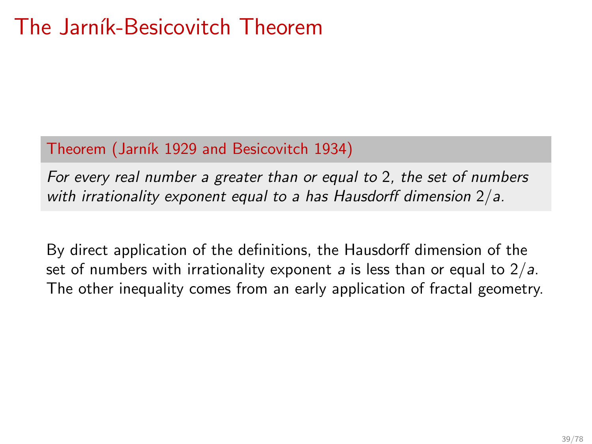## The Jarník-Besicovitch Theorem

#### Theorem (Jarník 1929 and Besicovitch 1934)

For every real number a greater than or equal to 2, the set of numbers with irrationality exponent equal to a has Hausdorff dimension  $2/a$ .

By direct application of the definitions, the Hausdorff dimension of the set of numbers with irrationality exponent a is less than or equal to  $2/a$ . The other inequality comes from an early application of fractal geometry.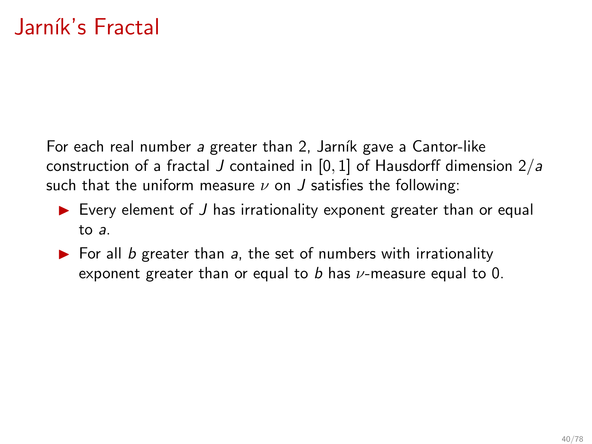For each real number a greater than 2, Jarník gave a Cantor-like construction of a fractal J contained in  $[0, 1]$  of Hausdorff dimension  $2/a$ such that the uniform measure  $\nu$  on  $J$  satisfies the following:

- $\triangleright$  Every element of J has irrationality exponent greater than or equal to a.
- $\triangleright$  For all b greater than a, the set of numbers with irrationality exponent greater than or equal to  $b$  has  $\nu$ -measure equal to 0.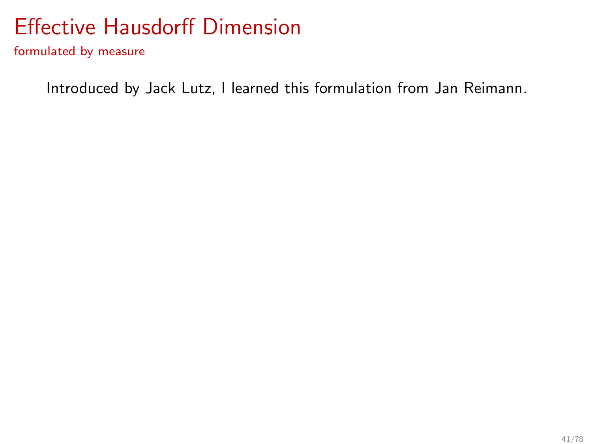<span id="page-57-0"></span>formulated by measure

Introduced by Jack Lutz, I learned this formulation from Jan Reimann.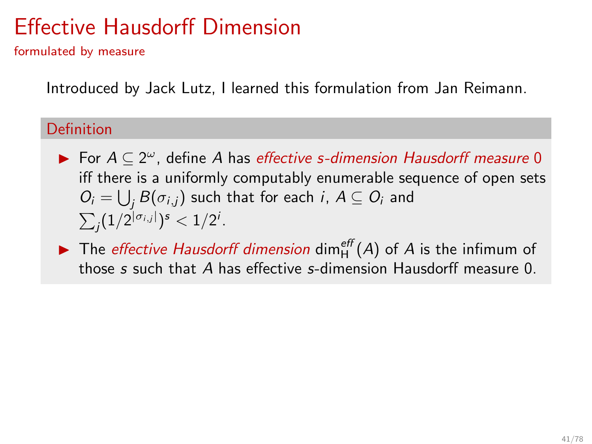formulated by measure

Introduced by Jack Lutz, I learned this formulation from Jan Reimann.

#### Definition

- ▶ For  $A \subseteq 2^{\omega}$ , define A has effective s-dimension Hausdorff measure 0 iff there is a uniformly computably enumerable sequence of open sets  $O_i = \bigcup_j B(\sigma_{i,j})$  such that for each  $i, A \subseteq O_i$  and  $\sum_j (1/2^{|\sigma_{i,j}|})^s < 1/2^i$ .
- $\blacktriangleright$  The *effective Hausdorff dimension* dim<sub>H</sub><sup>eff</sup> (A) of A is the infimum of those s such that A has effective s-dimension Hausdorff measure 0.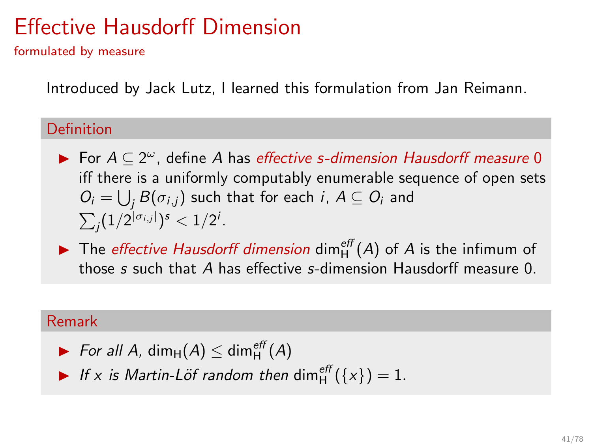formulated by measure

Introduced by Jack Lutz, I learned this formulation from Jan Reimann.

#### Definition

- ▶ For  $A \subseteq 2^{\omega}$ , define A has effective s-dimension Hausdorff measure 0 iff there is a uniformly computably enumerable sequence of open sets  $O_i = \bigcup_j B(\sigma_{i,j})$  such that for each  $i, A \subseteq O_i$  and  $\sum_j (1/2^{|\sigma_{i,j}|})^s < 1/2^i$ .
- $\blacktriangleright$  The *effective Hausdorff dimension* dim<sub>H</sub><sup>eff</sup> (A) of A is the infimum of those s such that A has effective s-dimension Hausdorff measure 0.

#### Remark

▶ For all A, dim<sub>H</sub>(A)  $\leq$  dim<sub>H</sub><sup>eff</sup>(A)

If x is Martin-Löf random then  $\dim_H^{eff}(\{x\}) = 1$ .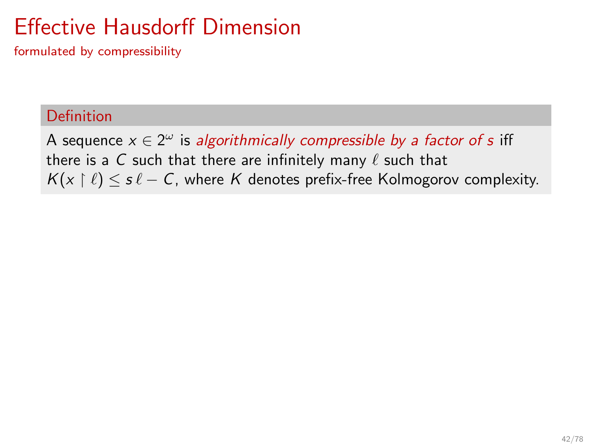formulated by compressibility

#### Definition

A sequence  $x \in 2^{\omega}$  is algorithmically compressible by a factor of s iff there is a C such that there are infinitely many  $\ell$  such that  $K(x \mid \ell) \leq s \ell - C$ , where K denotes prefix-free Kolmogorov complexity.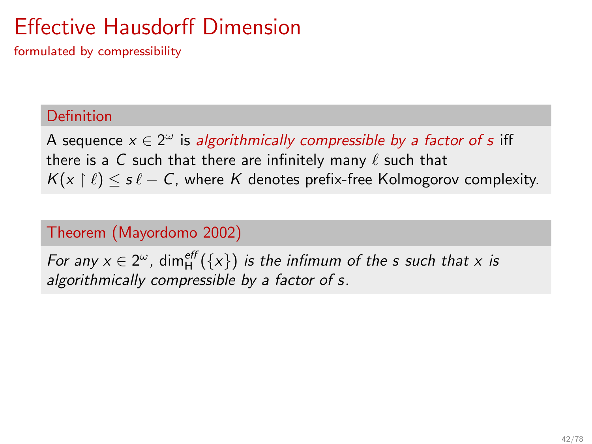formulated by compressibility

#### Definition

A sequence  $x \in 2^{\omega}$  is algorithmically compressible by a factor of s iff there is a C such that there are infinitely many  $\ell$  such that  $K(x \mid \ell) \leq s \ell - C$ , where K denotes prefix-free Kolmogorov complexity.

### Theorem (Mayordomo 2002)

For any  $x \in 2^{\omega}$ , dim $_{\mathsf{H}}^{\mathsf{eff}}(\{x\})$  is the infimum of the s such that x is algorithmically compressible by a factor of s.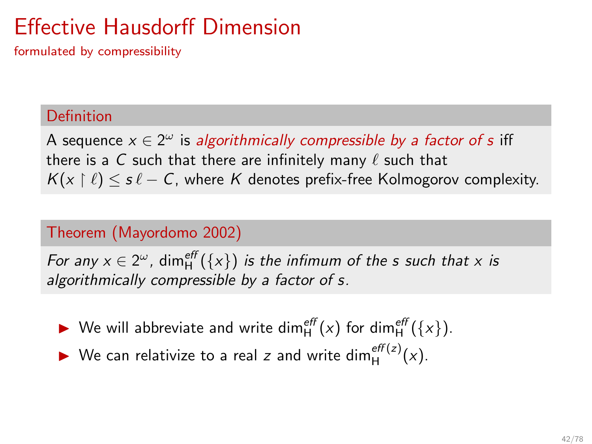formulated by compressibility

#### Definition

A sequence  $x \in 2^{\omega}$  is algorithmically compressible by a factor of s iff there is a C such that there are infinitely many  $\ell$  such that  $K(x \mid \ell) \leq s \ell - C$ , where K denotes prefix-free Kolmogorov complexity.

#### Theorem (Mayordomo 2002)

For any  $x \in 2^{\omega}$ , dim $_{\mathsf{H}}^{\mathsf{eff}}(\{x\})$  is the infimum of the s such that x is algorithmically compressible by a factor of s.

- ▶ We will abbreviate and write dim $_{H}^{eff}(x)$  for dim $_{H}^{eff}(\lbrace x \rbrace)$ .
- ▶ We can relativize to a real z and write dim $_{H}^{eff(z)}(x)$ .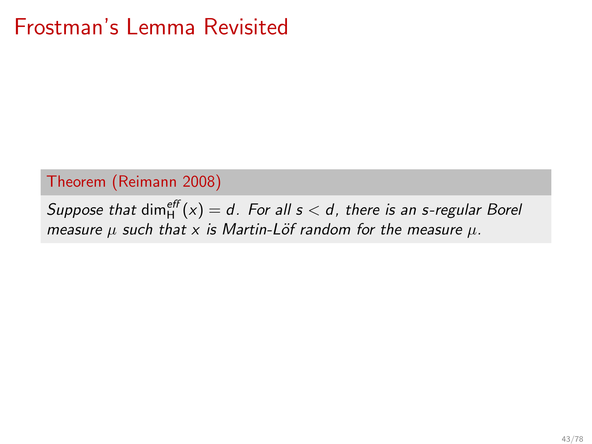## Frostman's Lemma Revisited

#### Theorem (Reimann 2008)

Suppose that  $\dim_H^{eff}(x) = d$ . For all  $s < d$ , there is an s-regular Borel measure  $\mu$  such that x is Martin-Löf random for the measure  $\mu$ .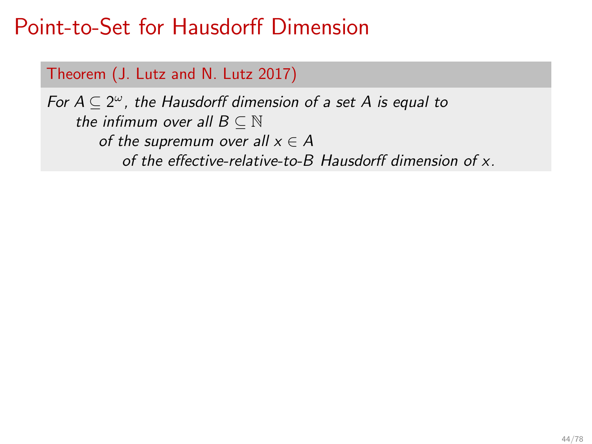### Theorem (J. Lutz and N. Lutz 2017)

For  $A \subseteq 2^{\omega}$ , the Hausdorff dimension of a set A is equal to the infimum over all  $B \subseteq \mathbb{N}$ of the supremum over all  $x \in A$ of the effective-relative-to-B Hausdorff dimension of x.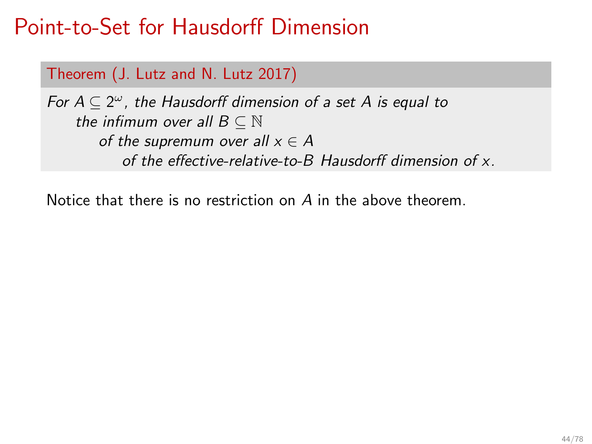### Theorem (J. Lutz and N. Lutz 2017)

For  $A \subseteq 2^{\omega}$ , the Hausdorff dimension of a set A is equal to the infimum over all  $B \subseteq \mathbb{N}$ of the supremum over all  $x \in A$ of the effective-relative-to-B Hausdorff dimension of x.

Notice that there is no restriction on A in the above theorem.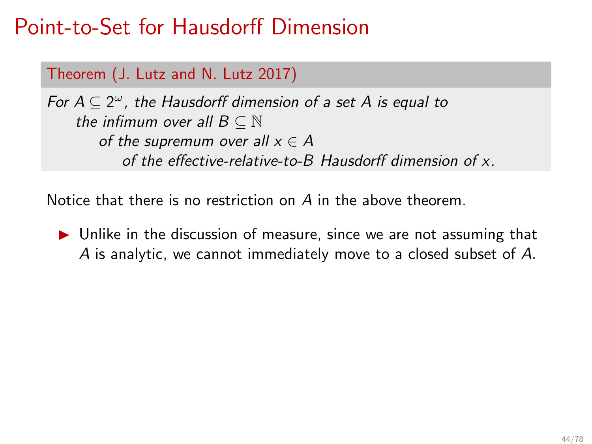### Theorem (J. Lutz and N. Lutz 2017)

For  $A \subseteq 2^{\omega}$ , the Hausdorff dimension of a set A is equal to the infimum over all  $B \subseteq \mathbb{N}$ of the supremum over all  $x \in A$ of the effective-relative-to-B Hausdorff dimension of x.

Notice that there is no restriction on A in the above theorem.

▶ Unlike in the discussion of measure, since we are not assuming that A is analytic, we cannot immediately move to a closed subset of A.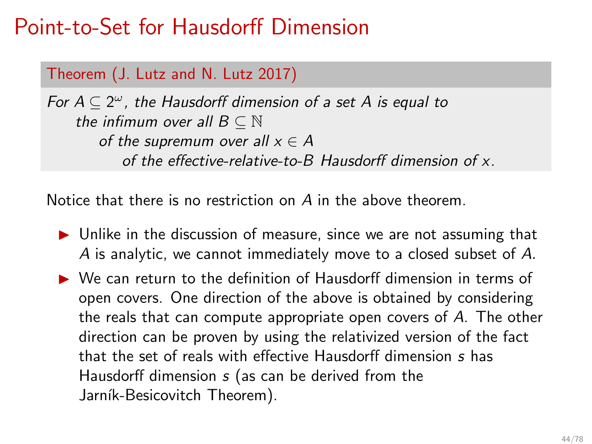### Theorem (J. Lutz and N. Lutz 2017)

For  $A \subseteq 2^{\omega}$ , the Hausdorff dimension of a set A is equal to the infimum over all  $B \subseteq \mathbb{N}$ of the supremum over all  $x \in A$ of the effective-relative-to-B Hausdorff dimension of x.

Notice that there is no restriction on A in the above theorem.

- ▶ Unlike in the discussion of measure, since we are not assuming that A is analytic, we cannot immediately move to a closed subset of A.
- ▶ We can return to the definition of Hausdorff dimension in terms of open covers. One direction of the above is obtained by considering the reals that can compute appropriate open covers of A. The other direction can be proven by using the relativized version of the fact that the set of reals with effective Hausdorff dimension s has Hausdorff dimension s (as can be derived from the Jarník-Besicovitch Theorem).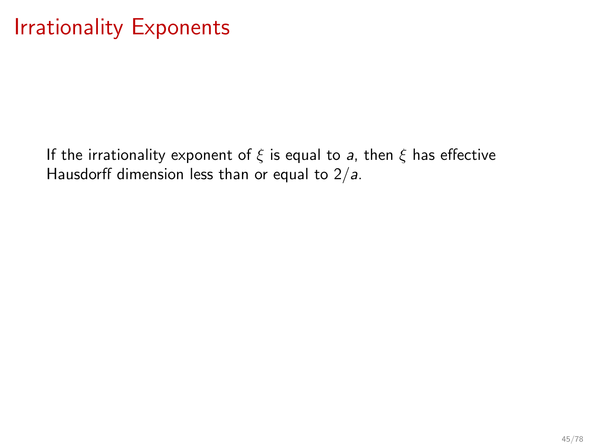## <span id="page-68-0"></span>Irrationality Exponents

If the irrationality exponent of  $\xi$  is equal to a, then  $\xi$  has effective Hausdorff dimension less than or equal to  $2/a$ .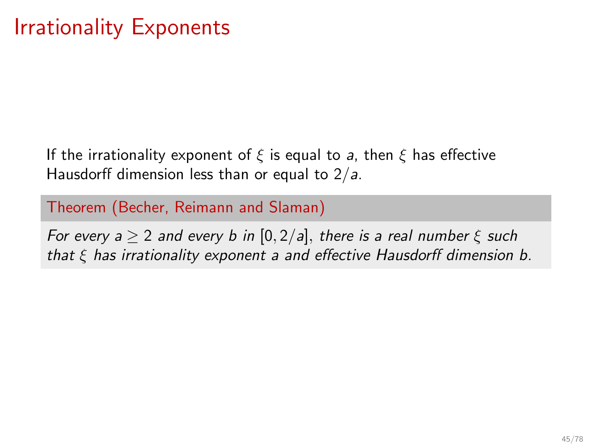## Irrationality Exponents

If the irrationality exponent of  $\xi$  is equal to a, then  $\xi$  has effective Hausdorff dimension less than or equal to  $2/a$ .

Theorem (Becher, Reimann and Slaman)

For every  $a \ge 2$  and every b in  $[0, 2/a]$ , there is a real number  $\xi$  such that  $\xi$  has irrationality exponent a and effective Hausdorff dimension b.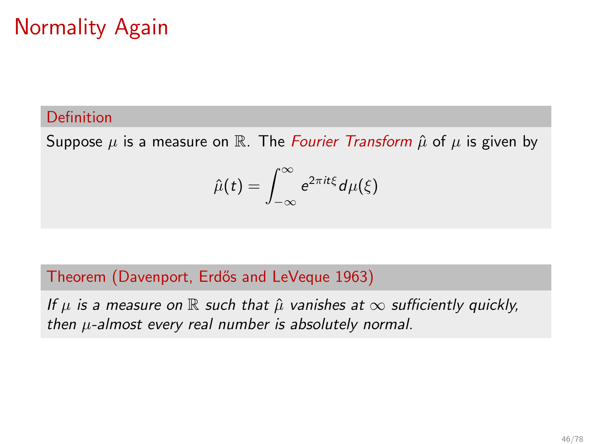# Normality Again

#### Definition

Suppose  $\mu$  is a measure on R. The Fourier Transform  $\hat{\mu}$  of  $\mu$  is given by

$$
\hat{\mu}(t) = \int_{-\infty}^{\infty} e^{2\pi i t \xi} d\mu(\xi)
$$

#### Theorem (Davenport, Erdős and LeVeque 1963)

If  $\mu$  is a measure on  $\mathbb R$  such that  $\hat{\mu}$  vanishes at  $\infty$  sufficiently quickly, then  $\mu$ -almost every real number is absolutely normal.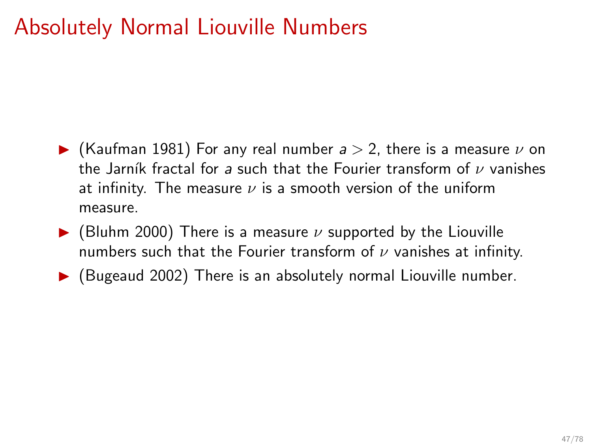## Absolutely Normal Liouville Numbers

- $\blacktriangleright$  (Kaufman 1981) For any real number  $a > 2$ , there is a measure  $\nu$  on the Jarník fractal for a such that the Fourier transform of  $\nu$  vanishes at infinity. The measure  $\nu$  is a smooth version of the uniform measure.
- $\blacktriangleright$  (Bluhm 2000) There is a measure v supported by the Liouville numbers such that the Fourier transform of  $\nu$  vanishes at infinity.
- $\blacktriangleright$  (Bugeaud 2002) There is an absolutely normal Liouville number.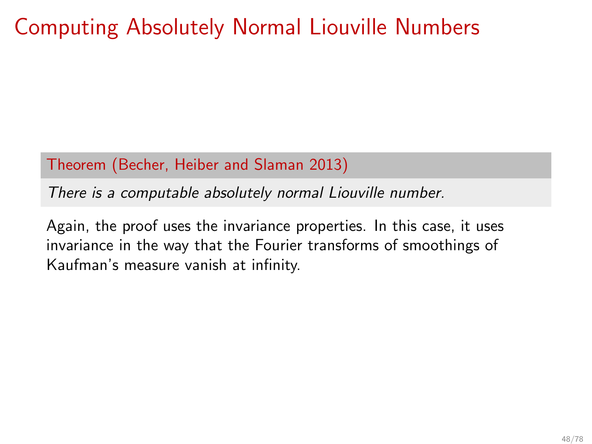## Computing Absolutely Normal Liouville Numbers

Theorem (Becher, Heiber and Slaman 2013)

There is a computable absolutely normal Liouville number.

Again, the proof uses the invariance properties. In this case, it uses invariance in the way that the Fourier transforms of smoothings of Kaufman's measure vanish at infinity.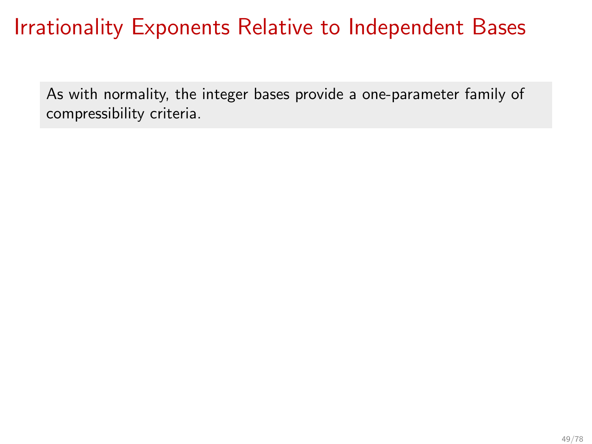## Irrationality Exponents Relative to Independent Bases

As with normality, the integer bases provide a one-parameter family of compressibility criteria.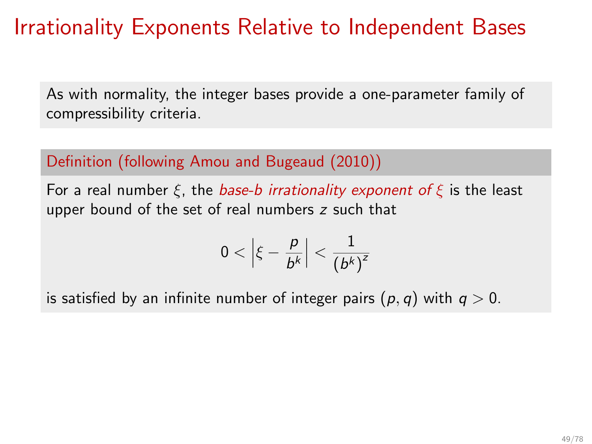## Irrationality Exponents Relative to Independent Bases

As with normality, the integer bases provide a one-parameter family of compressibility criteria.

### Definition (following Amou and Bugeaud (2010))

For a real number  $\xi$ , the base-b irrationality exponent of  $\xi$  is the least upper bound of the set of real numbers z such that

$$
0<\left|\xi-\frac{p}{b^k}\right|<\frac{1}{\left(b^k\right)^{\mathsf{z}}}
$$

is satisfied by an infinite number of integer pairs  $(p, q)$  with  $q > 0$ .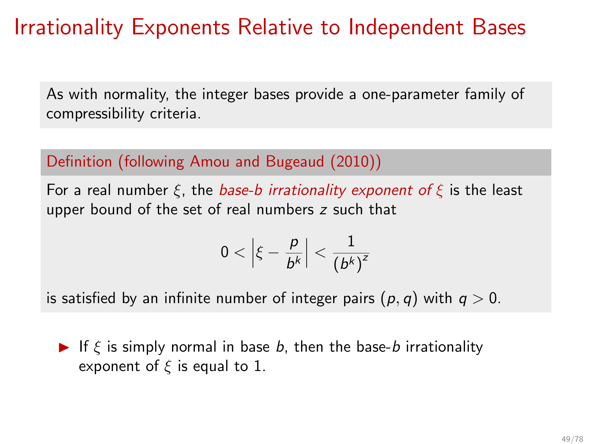## Irrationality Exponents Relative to Independent Bases

As with normality, the integer bases provide a one-parameter family of compressibility criteria.

### Definition (following Amou and Bugeaud (2010))

For a real number  $\xi$ , the base-b irrationality exponent of  $\xi$  is the least upper bound of the set of real numbers z such that

$$
0<\left|\xi-\frac{p}{b^k}\right|<\frac{1}{\left(b^k\right)^{\mathsf{z}}}
$$

is satisfied by an infinite number of integer pairs  $(p, q)$  with  $q > 0$ .

If  $\xi$  is simply normal in base b, then the base-b irrationality exponent of  $\xi$  is equal to 1.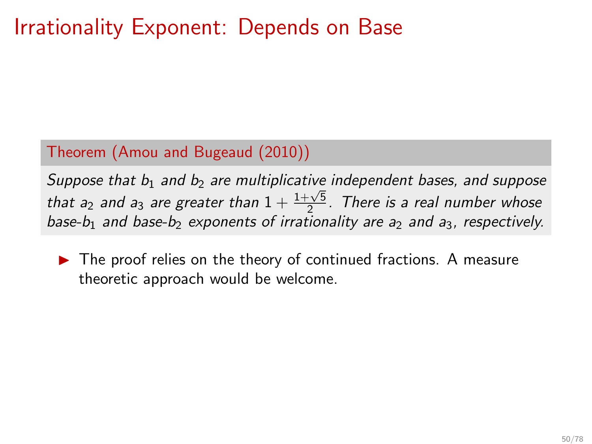## Irrationality Exponent: Depends on Base

### Theorem (Amou and Bugeaud (2010))

Suppose that  $b_1$  and  $b_2$  are multiplicative independent bases, and suppose that  $a_2$  and  $a_3$  are greater than  $1 + \frac{1+\sqrt{5}}{2}$ . There is a real number whose base-b<sub>1</sub> and base-b<sub>2</sub> exponents of irrationality are a<sub>2</sub> and a<sub>3</sub>, respectively.

▶ The proof relies on the theory of continued fractions. A measure theoretic approach would be welcome.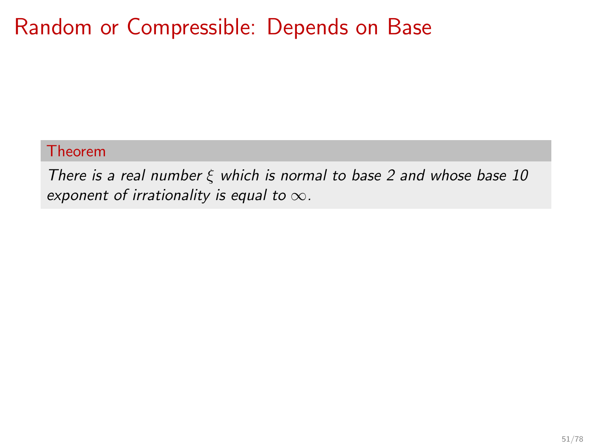## Random or Compressible: Depends on Base

### Theorem

There is a real number  $\xi$  which is normal to base 2 and whose base 10 exponent of irrationality is equal to  $\infty$ .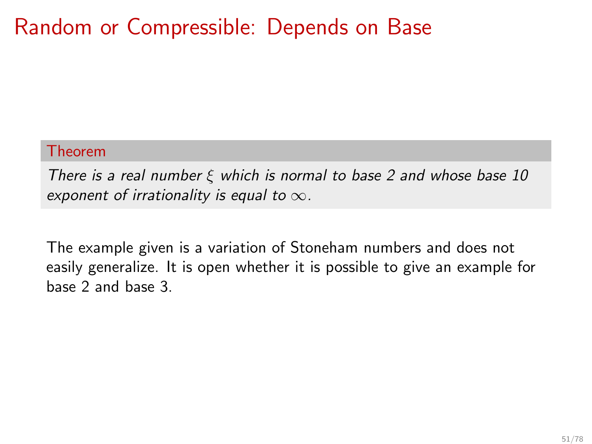## Random or Compressible: Depends on Base

#### Theorem

There is a real number  $\xi$  which is normal to base 2 and whose base 10 exponent of irrationality is equal to  $\infty$ .

The example given is a variation of Stoneham numbers and does not easily generalize. It is open whether it is possible to give an example for base 2 and base 3.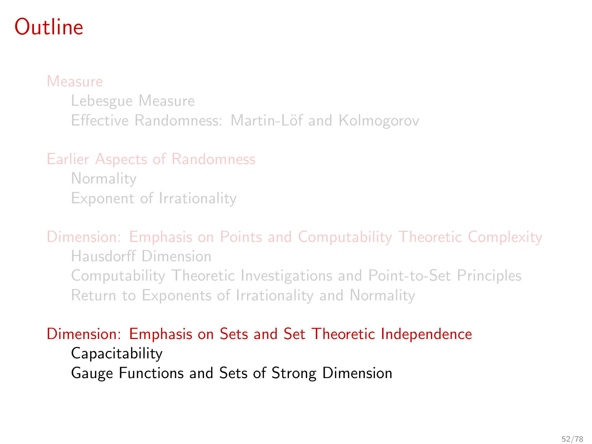## <span id="page-79-0"></span>Outline

### [Measure](#page-4-0)

[Lebesgue Measure](#page-5-0) Effective Randomness: Martin-Löf and Kolmogorov

### [Earlier Aspects of Randomness](#page-24-0)

**[Normality](#page-26-0)** [Exponent of Irrationality](#page-46-0)

### [Dimension: Emphasis on Points and Computability Theoretic Complexity](#page-48-0)

[Hausdorff Dimension](#page-49-0) [Computability Theoretic Investigations and Point-to-Set Principles](#page-57-0) [Return to Exponents of Irrationality and Normality](#page-68-0)

### [Dimension: Emphasis on Sets and Set Theoretic Independence](#page-79-0)

[Capacitability](#page-85-0) [Gauge Functions and Sets of Strong Dimension](#page-99-0)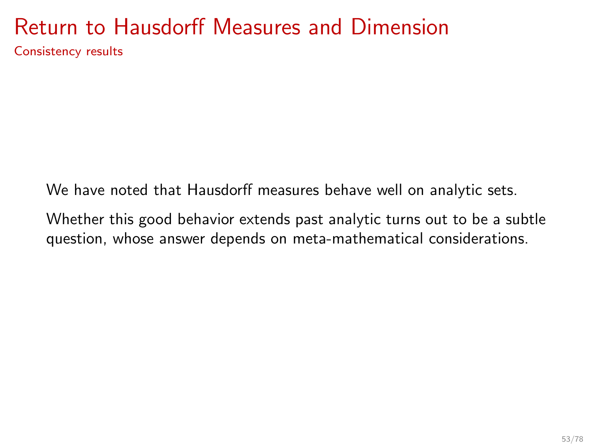### Return to Hausdorff Measures and Dimension Consistency results

We have noted that Hausdorff measures behave well on analytic sets.

Whether this good behavior extends past analytic turns out to be a subtle question, whose answer depends on meta-mathematical considerations.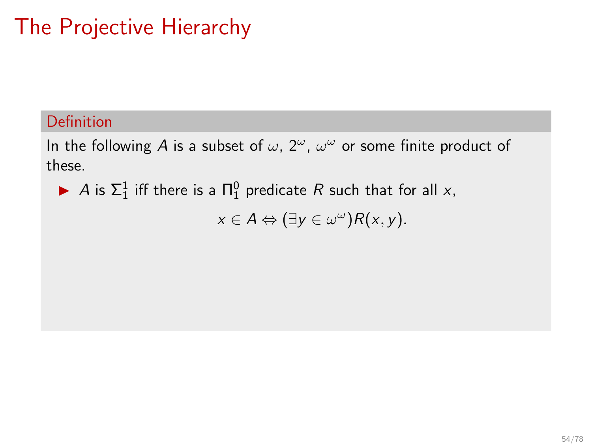# The Projective Hierarchy

### Definition

In the following A is a subset of  $\omega$ ,  $2^{\omega}$ ,  $\omega^{\omega}$  or some finite product of these.

A is  $\Sigma_1^1$  iff there is a  $\Pi_1^0$  predicate R such that for all x,

$$
x\in A \Leftrightarrow (\exists y\in \omega^\omega)R(x,y).
$$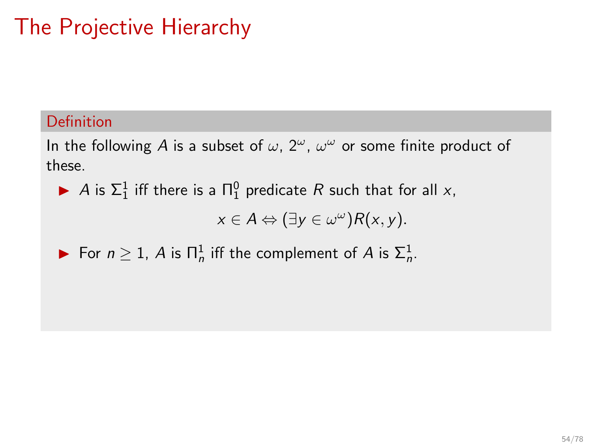# The Projective Hierarchy

### Definition

In the following A is a subset of  $\omega$ ,  $2^{\omega}$ ,  $\omega^{\omega}$  or some finite product of these.

A is  $\Sigma_1^1$  iff there is a  $\Pi_1^0$  predicate R such that for all x,

$$
x\in A \Leftrightarrow (\exists y\in \omega^\omega)R(x,y).
$$

For 
$$
n \ge 1
$$
, A is  $\Pi_n^1$  iff the complement of A is  $\Sigma_n^1$ .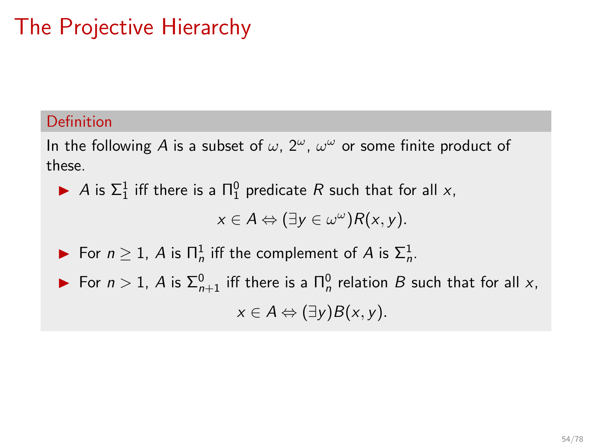# The Projective Hierarchy

### Definition

In the following A is a subset of  $\omega$ ,  $2^{\omega}$ ,  $\omega^{\omega}$  or some finite product of these.

A is  $\Sigma_1^1$  iff there is a  $\Pi_1^0$  predicate R such that for all x,

$$
x\in A \Leftrightarrow (\exists y\in \omega^{\omega})R(x,y).
$$

► For  $n \geq 1$ , A is  $\prod_{n=1}^{n}$  iff the complement of A is  $\sum_{n=1}^{n}$ .

► For  $n > 1$ , A is  $\Sigma_{n+1}^0$  iff there is a  $\Pi_n^0$  relation B such that for all x,  $x \in A \Leftrightarrow (\exists y) B(x, y).$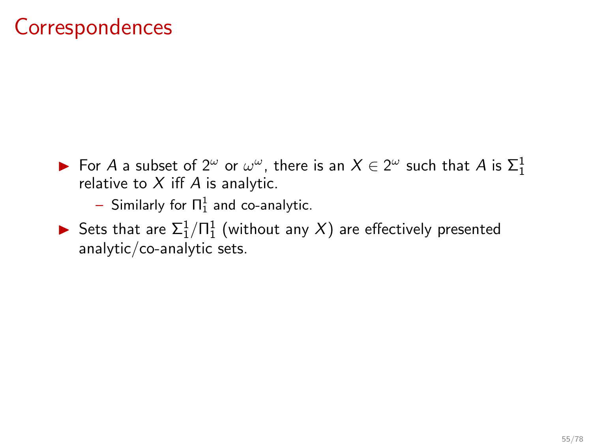## **Correspondences**

- ► For A a subset of  $2^{\omega}$  or  $\omega^{\omega}$ , there is an  $X \in 2^{\omega}$  such that A is  $\Sigma_1^1$ relative to  $X$  iff  $A$  is analytic.
	- $-$  Similarly for  $\Pi^1_1$  and co-analytic.
- ▶ Sets that are  $\Sigma^1_1/\Pi^1_1$  (without any  $X)$  are effectively presented analytic/co-analytic sets.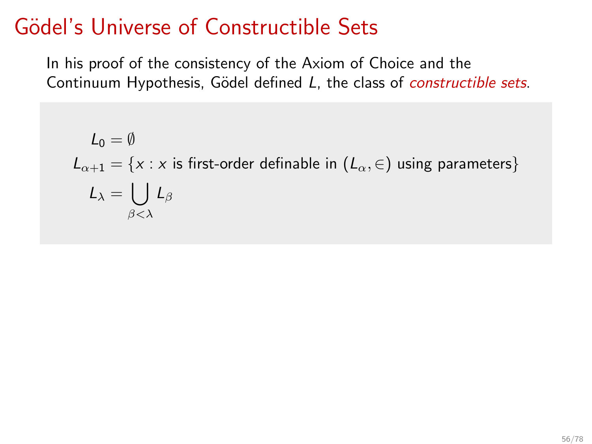## <span id="page-85-0"></span>Gödel's Universe of Constructible Sets

In his proof of the consistency of the Axiom of Choice and the Continuum Hypothesis, Gödel defined L, the class of *constructible sets*.

$$
L_0 = \emptyset
$$
  
\n
$$
L_{\alpha+1} = \{x : x \text{ is first-order definable in } (L_{\alpha}, \in) \text{ using parameters} \}
$$
  
\n
$$
L_{\lambda} = \bigcup_{\beta < \lambda} L_{\beta}
$$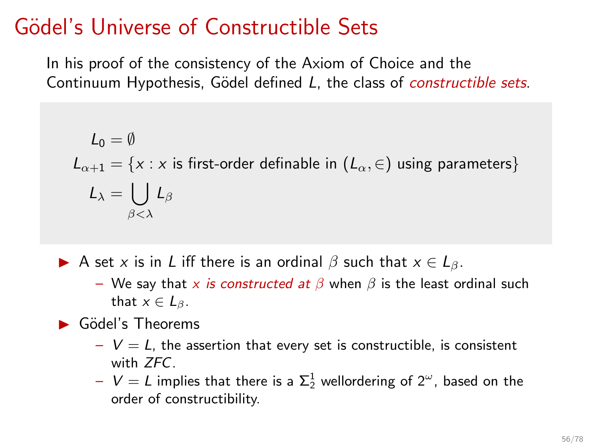## Gödel's Universe of Constructible Sets

In his proof of the consistency of the Axiom of Choice and the Continuum Hypothesis, Gödel defined L, the class of *constructible sets*.

$$
L_0 = \emptyset
$$
  
\n
$$
L_{\alpha+1} = \{x : x \text{ is first-order definable in } (L_{\alpha}, \in) \text{ using parameters} \}
$$
  
\n
$$
L_{\lambda} = \bigcup_{\beta < \lambda} L_{\beta}
$$

A set x is in L iff there is an ordinal  $\beta$  such that  $x \in L_{\beta}$ .

- We say that x is constructed at  $\beta$  when  $\beta$  is the least ordinal such that  $x \in L_{\beta}$ .
- $\blacktriangleright$  Gödel's Theorems
	- $-V = L$ , the assertion that every set is constructible, is consistent with ZFC.
	- $V = L$  implies that there is a  $\Sigma^1_2$  wellordering of  $2^\omega$ , based on the order of constructibility.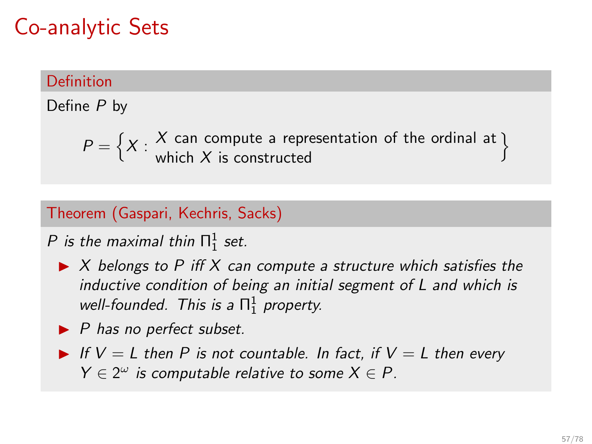## Co-analytic Sets

### Definition

Define P by

 $P = \left\{X : X \text{ can compute a representation of the ordinal at } X\right\}$ which  $X$  is constructed o

### Theorem (Gaspari, Kechris, Sacks)

P is the maximal thin  $\Pi^1_1$  set.

- $\triangleright$  X belongs to P iff X can compute a structure which satisfies the inductive condition of being an initial segment of L and which is well-founded. This is a  $\Pi^1_1$  property.
- $\blacktriangleright$  P has no perfect subset.
- If  $V = L$  then P is not countable. In fact, if  $V = L$  then every  $Y \in 2^{\omega}$  is computable relative to some  $X \in P$ .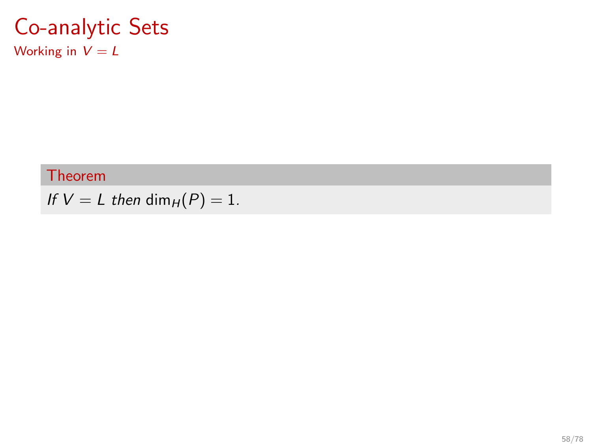### Co-analytic Sets Working in  $V = L$

### Theorem

If  $V = L$  then dim<sub>H</sub> $(P) = 1$ .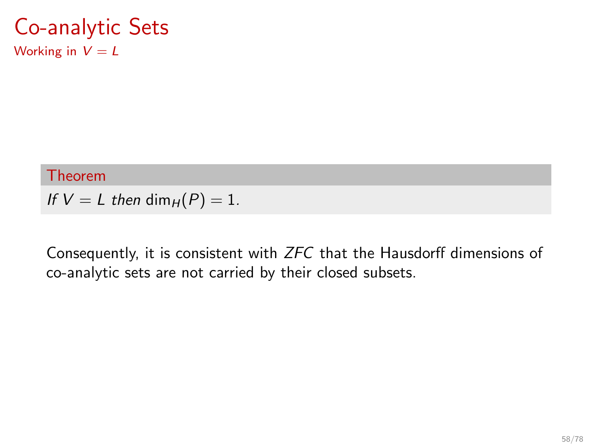### Co-analytic Sets Working in  $V = L$

#### Theorem

If  $V = L$  then dim<sub>H</sub> $(P) = 1$ .

Consequently, it is consistent with ZFC that the Hausdorff dimensions of co-analytic sets are not carried by their closed subsets.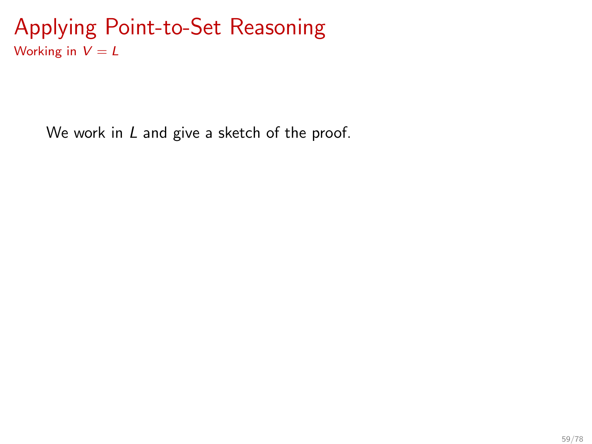### Applying Point-to-Set Reasoning Working in  $V = L$

We work in L and give a sketch of the proof.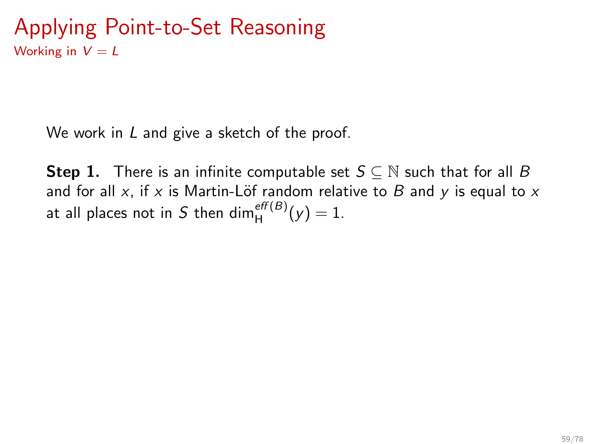### Applying Point-to-Set Reasoning Working in  $V = L$

We work in L and give a sketch of the proof.

**Step 1.** There is an infinite computable set  $S \subseteq \mathbb{N}$  such that for all B and for all x, if x is Martin-Löf random relative to B and y is equal to x at all places not in S then dim $_{\mathsf{H}}^{\mathsf{eff}(B)}(y)=1.$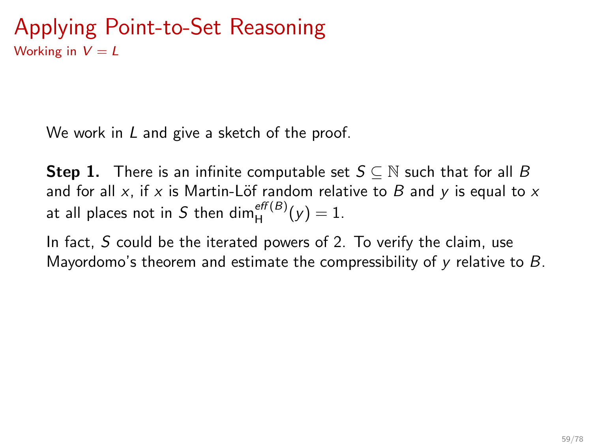We work in L and give a sketch of the proof.

**Step 1.** There is an infinite computable set  $S \subseteq \mathbb{N}$  such that for all B and for all x, if x is Martin-Löf random relative to B and y is equal to x at all places not in S then dim $_{\mathsf{H}}^{\mathsf{eff}(B)}(y)=1.$ 

In fact, S could be the iterated powers of 2. To verify the claim, use Mayordomo's theorem and estimate the compressibility of  $\gamma$  relative to B.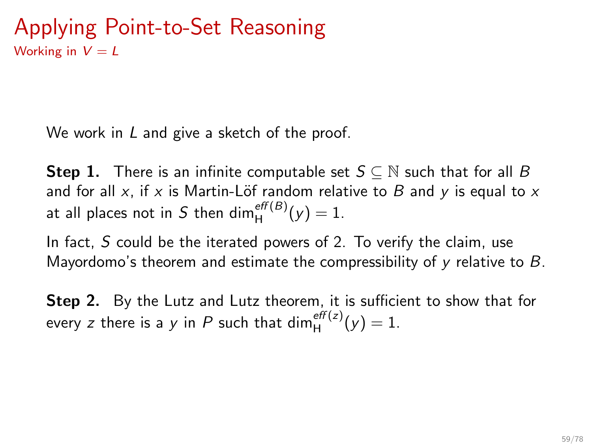We work in L and give a sketch of the proof.

**Step 1.** There is an infinite computable set  $S \subseteq \mathbb{N}$  such that for all B and for all x, if x is Martin-Löf random relative to B and y is equal to x at all places not in S then dim $_{\mathsf{H}}^{\mathsf{eff}(B)}(y)=1.$ 

In fact, S could be the iterated powers of 2. To verify the claim, use Mayordomo's theorem and estimate the compressibility of  $\gamma$  relative to B.

Step 2. By the Lutz and Lutz theorem, it is sufficient to show that for every z there is a y in P such that  $\dim_H^{eff(z)}(y) = 1$ .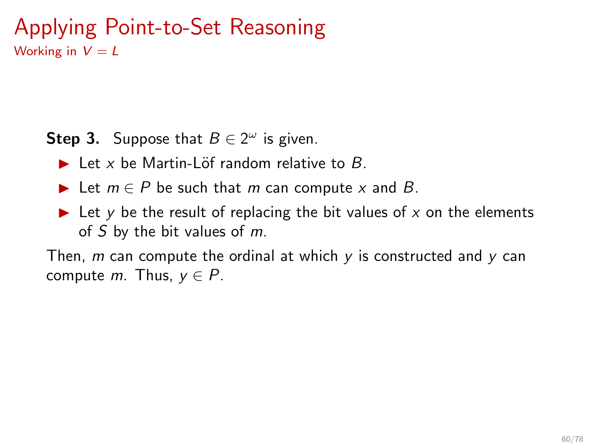### Applying Point-to-Set Reasoning Working in  $V = L$

**Step 3.** Suppose that  $B \in 2^{\omega}$  is given.

- $\blacktriangleright$  Let x be Martin-Löf random relative to B.
- **►** Let  $m \in P$  be such that m can compute x and B.
- $\blacktriangleright$  Let y be the result of replacing the bit values of x on the elements of  $S$  by the bit values of  $m$ .

Then,  $m$  can compute the ordinal at which  $y$  is constructed and  $y$  can compute m. Thus,  $y \in P$ .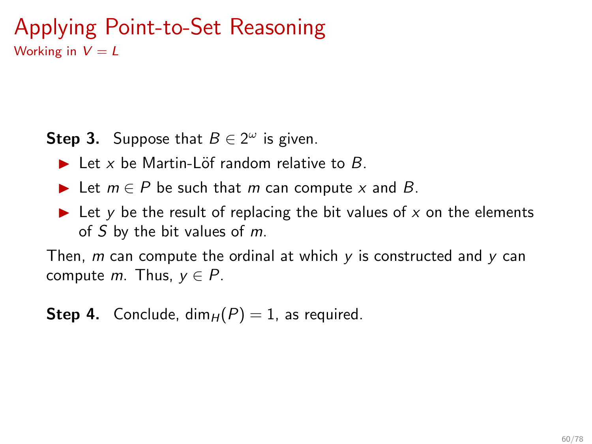### Applying Point-to-Set Reasoning Working in  $V = L$

**Step 3.** Suppose that  $B \in 2^{\omega}$  is given.

- $\blacktriangleright$  Let x be Martin-Löf random relative to B.
- **►** Let  $m \in P$  be such that m can compute x and B.
- $\blacktriangleright$  Let y be the result of replacing the bit values of x on the elements of  $S$  by the bit values of  $m$ .

Then, m can compute the ordinal at which  $y$  is constructed and  $y$  can compute m. Thus,  $y \in P$ .

**Step 4.** Conclude, dim<sub>H</sub> $(P) = 1$ , as required.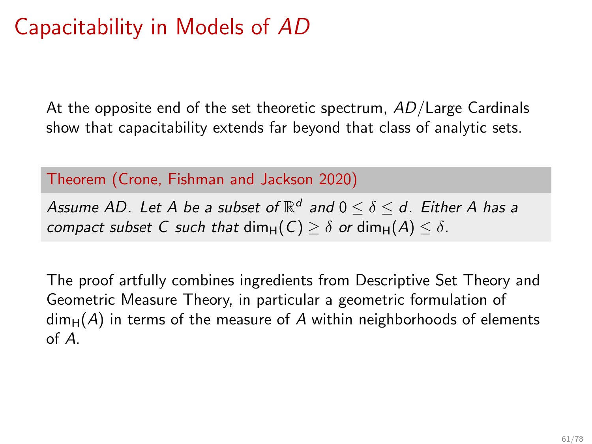# Capacitability in Models of AD

At the opposite end of the set theoretic spectrum,  $AD/L$ arge Cardinals show that capacitability extends far beyond that class of analytic sets.

Theorem (Crone, Fishman and Jackson 2020)

Assume AD. Let A be a subset of  $\mathbb{R}^d$  and  $0\leq \delta \leq d$ . Either A has a compact subset C such that dim $_H(C) \geq \delta$  or dim $_H(A) \leq \delta$ .

The proof artfully combines ingredients from Descriptive Set Theory and Geometric Measure Theory, in particular a geometric formulation of  $dim_H(A)$  in terms of the measure of A within neighborhoods of elements of A.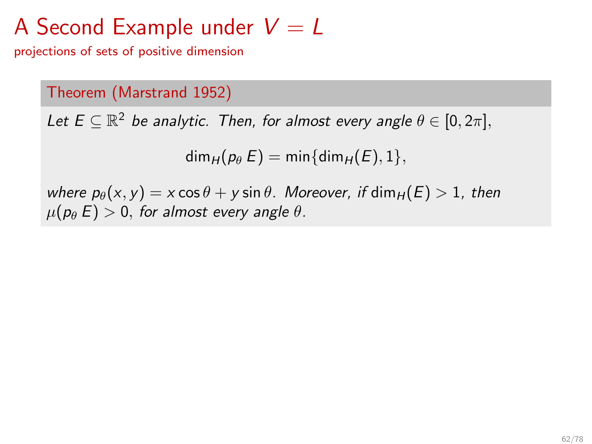# A Second Example under  $V = L$

projections of sets of positive dimension

### Theorem (Marstrand 1952)

Let  $E \subseteq \mathbb{R}^2$  be analytic. Then, for almost every angle  $\theta \in [0, 2\pi]$ ,

 $dim_H(p_\theta E) = min\{dim_H(E), 1\},$ 

where  $p_{\theta}(x, y) = x \cos \theta + y \sin \theta$ . Moreover, if  $\dim_H (E) > 1$ , then  $\mu(p_\theta E) > 0$ , for almost every angle  $\theta$ .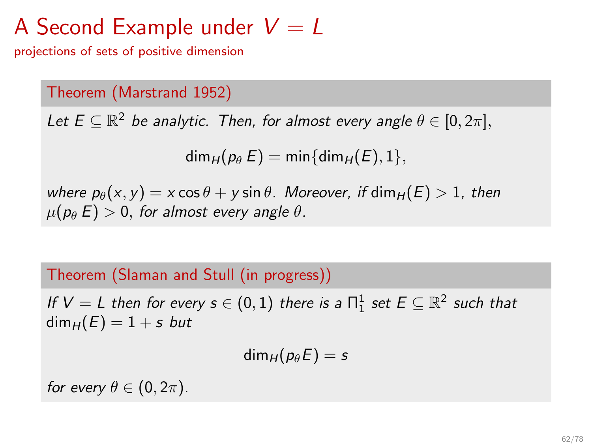# A Second Example under  $V = L$

projections of sets of positive dimension

### Theorem (Marstrand 1952)

Let  $E \subseteq \mathbb{R}^2$  be analytic. Then, for almost every angle  $\theta \in [0, 2\pi]$ ,

 $dim_H(p_\theta E) = min\{dim_H(E), 1\},$ 

where  $p_{\theta}(x, y) = x \cos \theta + y \sin \theta$ . Moreover, if  $\dim_H (E) > 1$ , then  $\mu(p_\theta E) > 0$ , for almost every angle  $\theta$ .

### Theorem (Slaman and Stull (in progress))

If  $V = L$  then for every  $s \in (0,1)$  there is a  $\Pi^1_1$  set  $E \subseteq \mathbb{R}^2$  such that  $dim_H (E) = 1 + s$  but

$$
\dim_H(p_\theta E)=s
$$

for every  $\theta \in (0, 2\pi)$ .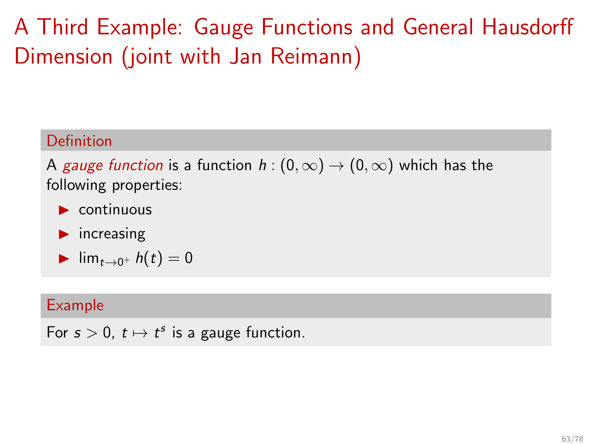# <span id="page-99-0"></span>A Third Example: Gauge Functions and General Hausdorff Dimension (joint with Jan Reimann)

### Definition

A gauge function is a function  $h:(0,\infty) \to (0,\infty)$  which has the following properties:

- $\triangleright$  continuous
- $\blacktriangleright$  increasing

$$
\blacktriangleright \lim_{t\to 0^+} h(t)=0
$$

#### Example

For  $s > 0$ ,  $t \mapsto t^s$  is a gauge function.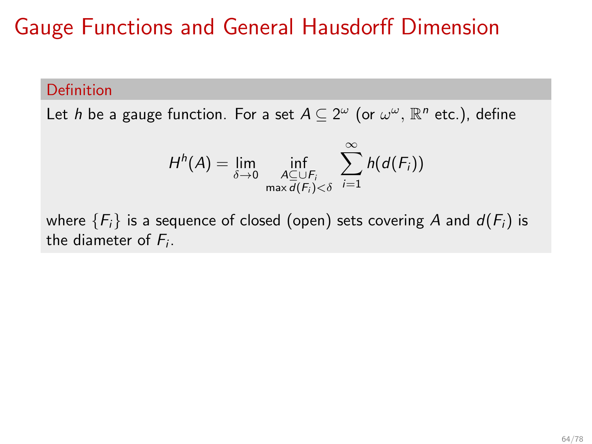#### Definition

Let h be a gauge function. For a set  $A\subseteq 2^\omega$  (or  $\omega^\omega$ ,  $\mathbb{R}^n$  etc.), define

$$
H^{h}(A) = \lim_{\delta \to 0} \inf_{\substack{A \subseteq \cup F_i \\ \max d(F_i) < \delta}} \sum_{i=1}^{\infty} h(d(F_i))
$$

where  ${F_i}$  is a sequence of closed (open) sets covering A and  $d(F_i)$  is the diameter of  $F_i$ .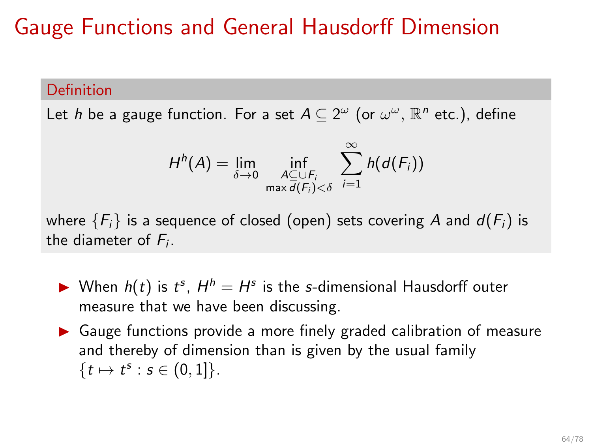#### Definition

Let h be a gauge function. For a set  $A\subseteq 2^\omega$  (or  $\omega^\omega$ ,  $\mathbb{R}^n$  etc.), define

$$
H^{h}(A) = \lim_{\delta \to 0} \inf_{\substack{A \subseteq \cup F_i \\ \max d(F_i) < \delta}} \sum_{i=1}^{\infty} h(d(F_i))
$$

where  ${F_i}$  is a sequence of closed (open) sets covering A and  $d(F_i)$  is the diameter of  $F_i$ .

- When  $h(t)$  is  $t^s$ ,  $H^h = H^s$  is the s-dimensional Hausdorff outer measure that we have been discussing.
- ▶ Gauge functions provide a more finely graded calibration of measure and thereby of dimension than is given by the usual family  $\{t \mapsto t^s : s \in (0,1]\}.$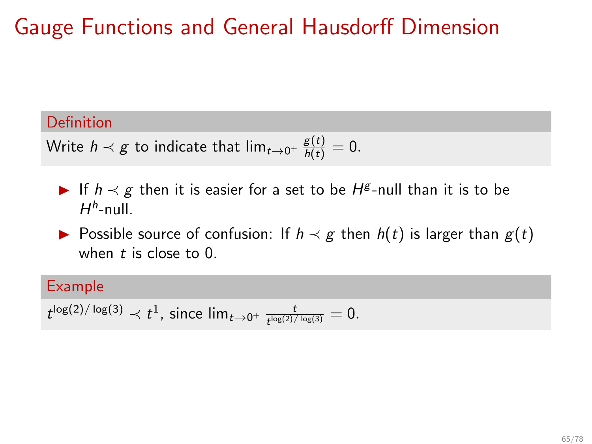### Definition

Write  $h \prec g$  to indicate that  $\lim_{t \to 0^+} \frac{g(t)}{h(t)} = 0.$ 

- ▶ If  $h \prec g$  then it is easier for a set to be  $H^g$ -null than it is to be  $H^h$ -null.
- ▶ Possible source of confusion: If  $h \prec g$  then  $h(t)$  is larger than  $g(t)$ when  $t$  is close to  $0$ .

### Example

 $t^{\log(2)/\log(3)} \prec t^1$ , since  $\lim_{t \to 0^+} \frac{t}{t^{\log(2)/\log(3)}} = 0$ .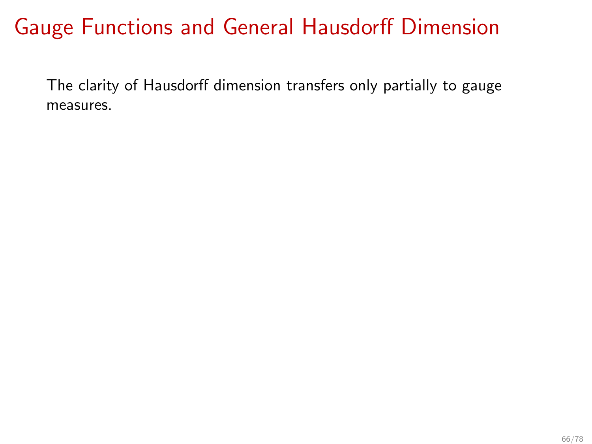The clarity of Hausdorff dimension transfers only partially to gauge measures.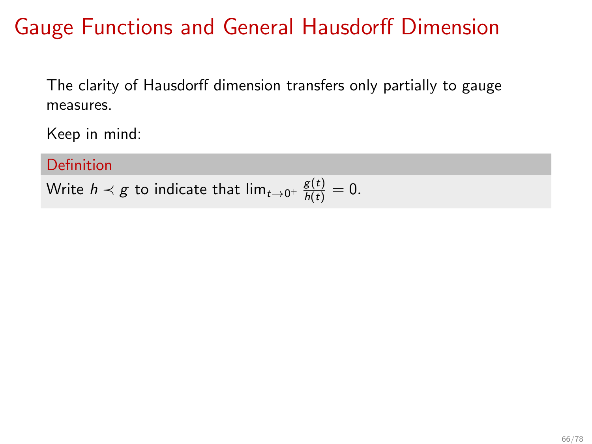The clarity of Hausdorff dimension transfers only partially to gauge measures.

Keep in mind:

Definition

Write  $h \prec g$  to indicate that  $\lim_{t \to 0^+} \frac{g(t)}{h(t)} = 0.$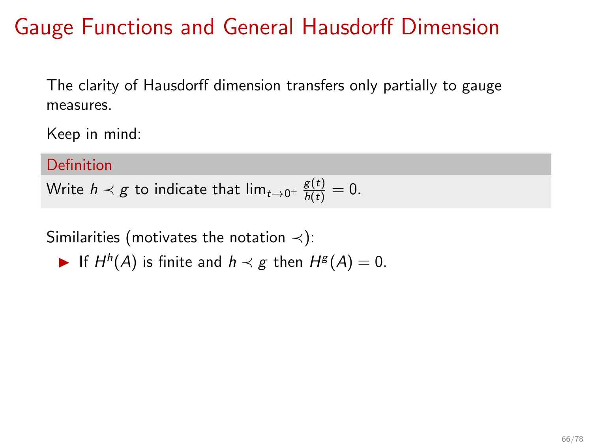The clarity of Hausdorff dimension transfers only partially to gauge measures.

Keep in mind:

Definition

Write  $h \prec g$  to indicate that  $\lim_{t \to 0^+} \frac{g(t)}{h(t)} = 0.$ 

Similarities (motivates the notation  $\prec$ ):

► If  $H^h(A)$  is finite and  $h \prec g$  then  $H^g(A) = 0$ .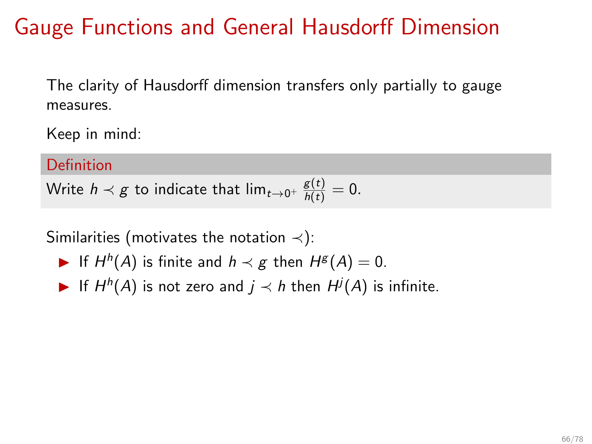The clarity of Hausdorff dimension transfers only partially to gauge measures.

Keep in mind:

Definition

Write  $h \prec g$  to indicate that  $\lim_{t \to 0^+} \frac{g(t)}{h(t)} = 0.$ 

Similarities (motivates the notation  $\prec$ ):

- ► If  $H^h(A)$  is finite and  $h \prec g$  then  $H^g(A) = 0$ .
- ▶ If  $H^h(A)$  is not zero and  $j \prec h$  then  $H^j(A)$  is infinite.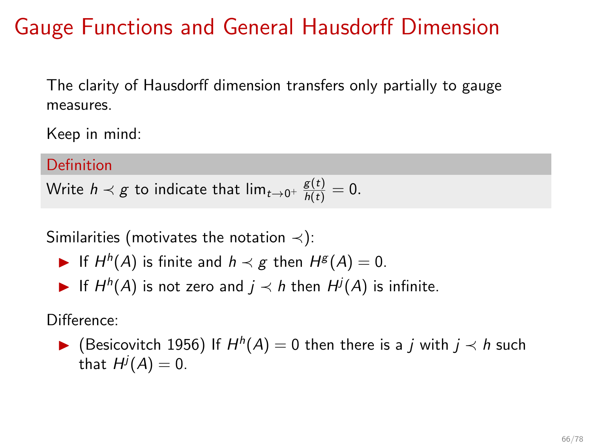The clarity of Hausdorff dimension transfers only partially to gauge measures.

Keep in mind:

Definition

Write  $h \prec g$  to indicate that  $\lim_{t \to 0^+} \frac{g(t)}{h(t)} = 0.$ 

Similarities (motivates the notation  $\prec$ ):

- ► If  $H^h(A)$  is finite and  $h \prec g$  then  $H^g(A) = 0$ .
- ▶ If  $H^h(A)$  is not zero and  $j \prec h$  then  $H^j(A)$  is infinite.

Difference:

▶ (Besicovitch 1956) If  $H^h(A) = 0$  then there is a j with  $j \prec h$  such that  $H^j(A)=0.$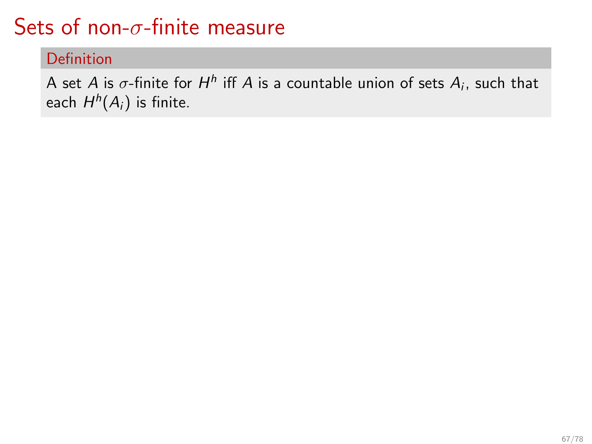Definition

A set A is  $\sigma$ -finite for  $H^h$  iff A is a countable union of sets  $A_i$ , such that each  $H^h(A_i)$  is finite.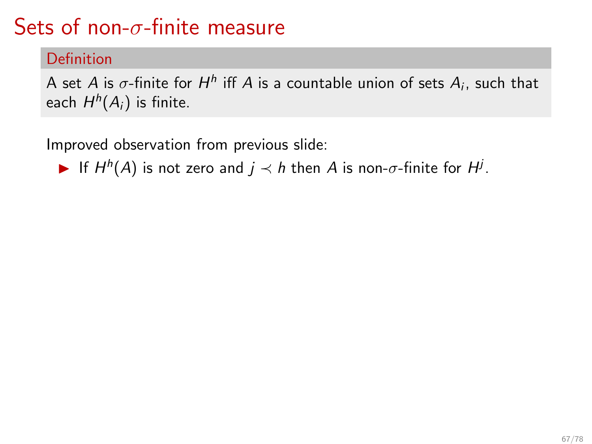#### Definition

A set A is  $\sigma$ -finite for  $H^h$  iff A is a countable union of sets  $A_i$ , such that each  $H^h(A_i)$  is finite.

Improved observation from previous slide:

► If  $H^h(A)$  is not zero and  $j \prec h$  then A is non- $\sigma$ -finite for  $H^j$ .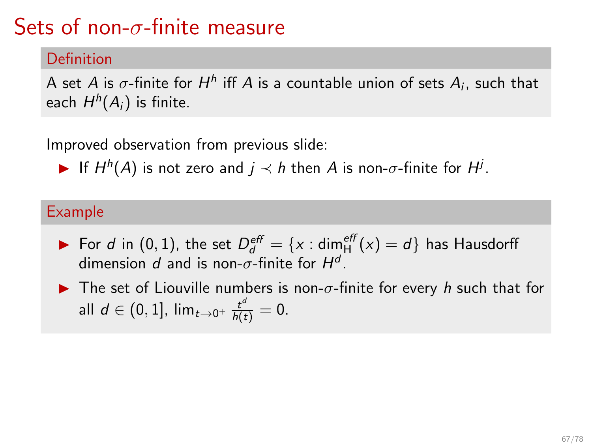#### Definition

A set A is  $\sigma$ -finite for  $H^h$  iff A is a countable union of sets  $A_i$ , such that each  $H^h(A_i)$  is finite.

Improved observation from previous slide:

► If  $H^h(A)$  is not zero and  $j \prec h$  then A is non- $\sigma$ -finite for  $H^j$ .

#### Example

- ▶ For d in (0, 1), the set  $D_d^{\text{eff}} = \{x : \text{dim}_H^{\text{eff}}(x) = d\}$  has Hausdorff dimension d and is non- $\sigma$ -finite for  $H^d$ .
- $\blacktriangleright$  The set of Liouville numbers is non- $\sigma$ -finite for every h such that for all  $d \in (0,1]$ ,  $\lim_{t\to 0^+} \frac{t^d}{h(t)} = 0$ .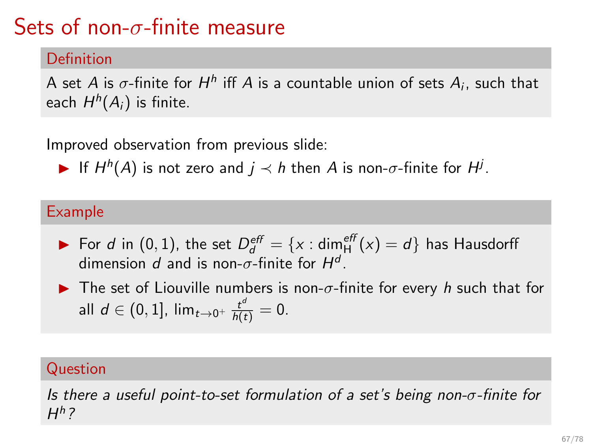### Definition

A set A is  $\sigma$ -finite for  $H^h$  iff A is a countable union of sets  $A_i$ , such that each  $H^h(A_i)$  is finite.

Improved observation from previous slide:

► If  $H^h(A)$  is not zero and  $j \prec h$  then A is non- $\sigma$ -finite for  $H^j$ .

#### Example

- ▶ For d in (0, 1), the set  $D_d^{\text{eff}} = \{x : \text{dim}_H^{\text{eff}}(x) = d\}$  has Hausdorff dimension d and is non- $\sigma$ -finite for  $H^d$ .
- $\blacktriangleright$  The set of Liouville numbers is non- $\sigma$ -finite for every h such that for all  $d \in (0,1]$ ,  $\lim_{t\to 0^+} \frac{t^d}{h(t)} = 0$ .

#### Question

Is there a useful point-to-set formulation of a set's being non- $\sigma$ -finite for  $H^h$  ?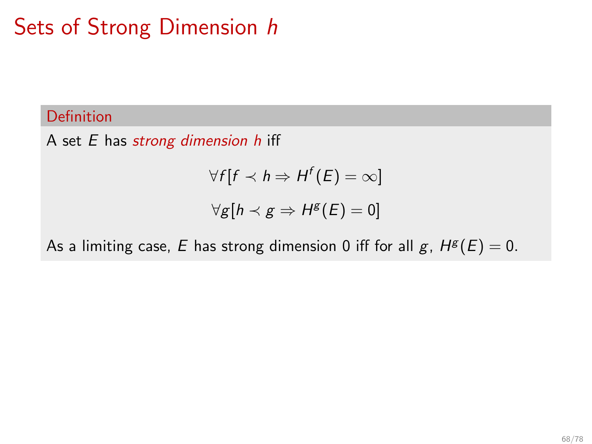### Definition

A set  $E$  has strong dimension  $h$  iff

$$
\forall f[f \prec h \Rightarrow H^f(E) = \infty]
$$

$$
\forall g[h \prec g \Rightarrow H^g(E) = 0]
$$

As a limiting case, E has strong dimension 0 iff for all  $g$ ,  $H^g(E) = 0$ .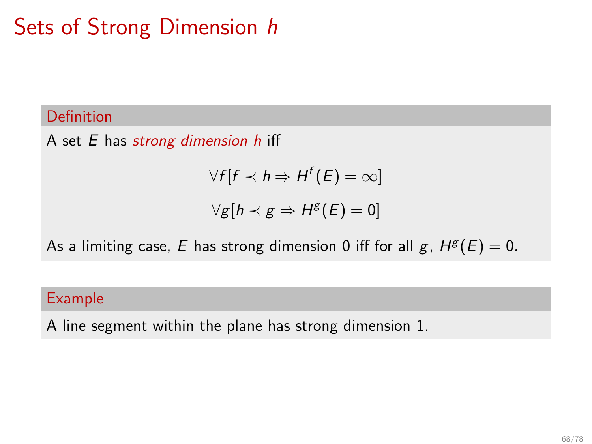### Definition

A set  $E$  has strong dimension  $h$  iff

$$
\forall f[f \prec h \Rightarrow H^f(E) = \infty]
$$

$$
\forall g[h \prec g \Rightarrow H^g(E) = 0]
$$

As a limiting case, E has strong dimension 0 iff for all  $g$ ,  $H^g(E) = 0$ .

#### Example

A line segment within the plane has strong dimension 1.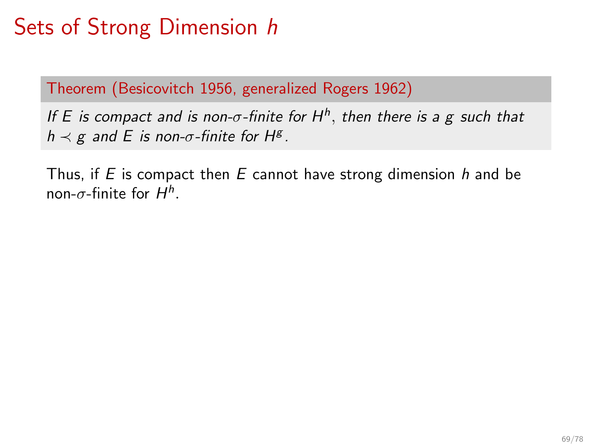Theorem (Besicovitch 1956, generalized Rogers 1962)

If E is compact and is non- $\sigma$ -finite for H<sup>h</sup>, then there is a g such that  $h \prec g$  and E is non- $\sigma$ -finite for H<sup>g</sup>.

Thus, if  $E$  is compact then  $E$  cannot have strong dimension  $h$  and be non- $\sigma$ -finite for  $H^h.$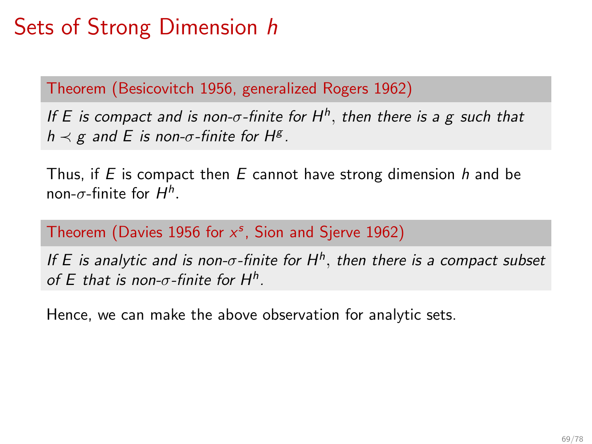Theorem (Besicovitch 1956, generalized Rogers 1962)

If E is compact and is non- $\sigma$ -finite for H<sup>h</sup>, then there is a g such that  $h \prec g$  and E is non- $\sigma$ -finite for H<sup>g</sup>.

Thus, if  $E$  is compact then  $E$  cannot have strong dimension  $h$  and be non- $\sigma$ -finite for  $H^h.$ 

Theorem (Davies 1956 for  $x^s$ , Sion and Sjerve 1962)

If E is analytic and is non- $\sigma$ -finite for  $H^h$ , then there is a compact subset of E that is non- $\sigma$ -finite for H<sup>h</sup>.

Hence, we can make the above observation for analytic sets.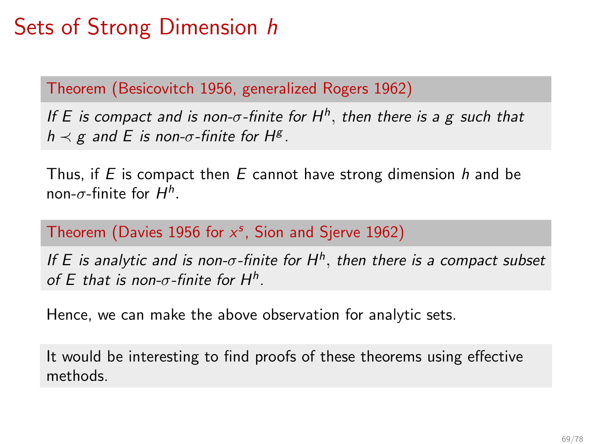Theorem (Besicovitch 1956, generalized Rogers 1962)

If E is compact and is non- $\sigma$ -finite for H<sup>h</sup>, then there is a g such that  $h \prec g$  and E is non- $\sigma$ -finite for H<sup>g</sup>.

Thus, if E is compact then  $E$  cannot have strong dimension h and be non- $\sigma$ -finite for  $H^h.$ 

Theorem (Davies 1956 for  $x^s$ , Sion and Sjerve 1962)

If E is analytic and is non- $\sigma$ -finite for  $H^h$ , then there is a compact subset of E that is non- $\sigma$ -finite for H<sup>h</sup>.

Hence, we can make the above observation for analytic sets.

It would be interesting to find proofs of these theorems using effective methods.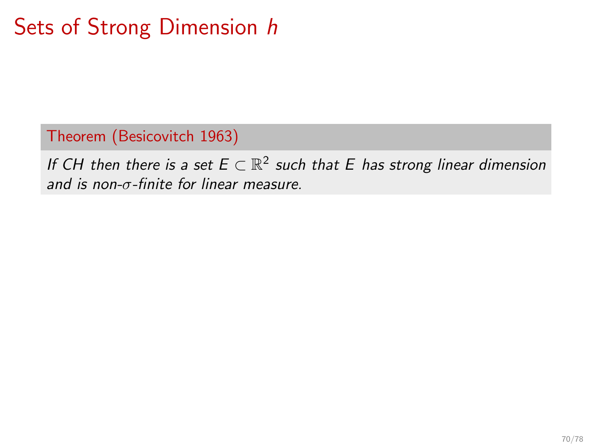Theorem (Besicovitch 1963)

If CH then there is a set  $E \subset \mathbb{R}^2$  such that E has strong linear dimension and is non- $\sigma$ -finite for linear measure.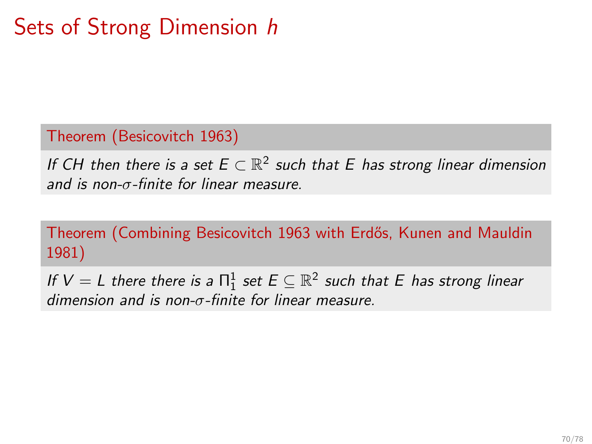Theorem (Besicovitch 1963)

If CH then there is a set  $E \subset \mathbb{R}^2$  such that E has strong linear dimension and is non-σ-finite for linear measure.

Theorem (Combining Besicovitch 1963 with Erdős, Kunen and Mauldin 1981)

If  $V = L$  there there is a  $\Pi^1_1$  set  $E \subseteq \mathbb{R}^2$  such that  $E$  has strong linear dimension and is non- $\sigma$ -finite for linear measure.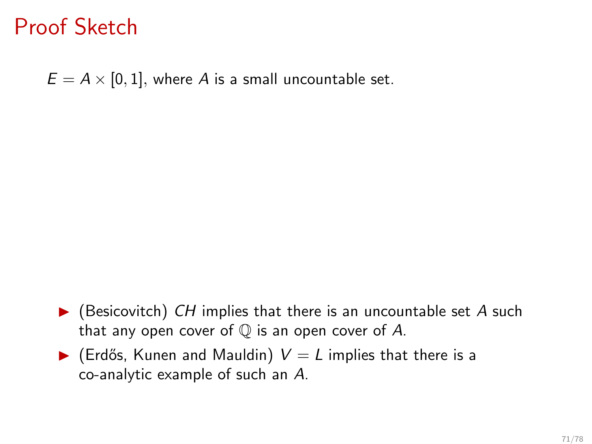### Proof Sketch

 $E = A \times [0, 1]$ , where A is a small uncountable set.

- $\blacktriangleright$  (Besicovitch) CH implies that there is an uncountable set A such that any open cover of  $\mathbb Q$  is an open cover of A.
- $\blacktriangleright$  (Erdős, Kunen and Mauldin)  $V = L$  implies that there is a co-analytic example of such an A.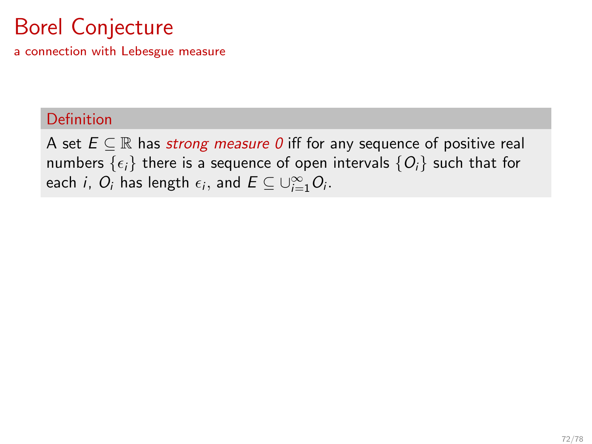a connection with Lebesgue measure

### Definition

A set  $E \subseteq \mathbb{R}$  has strong measure 0 iff for any sequence of positive real numbers  $\{\epsilon_i\}$  there is a sequence of open intervals  $\{O_i\}$  such that for each *i*,  $O_i$  has length  $\epsilon_i$ , and  $E \subseteq \cup_{i=1}^{\infty} O_i$ .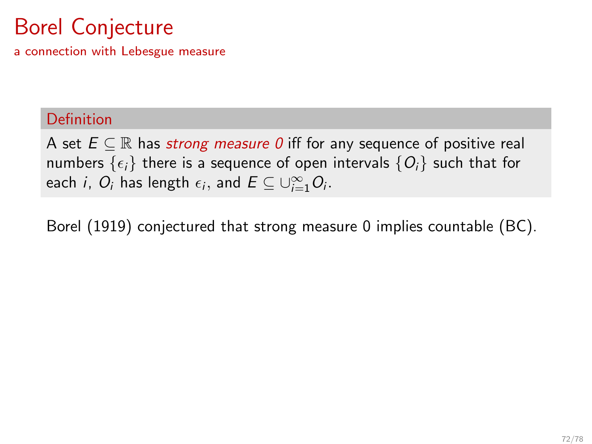a connection with Lebesgue measure

#### Definition

A set  $E \subseteq \mathbb{R}$  has strong measure 0 iff for any sequence of positive real numbers  $\{\epsilon_i\}$  there is a sequence of open intervals  $\{O_i\}$  such that for each *i*,  $O_i$  has length  $\epsilon_i$ , and  $E \subseteq \cup_{i=1}^{\infty} O_i$ .

Borel (1919) conjectured that strong measure 0 implies countable (BC).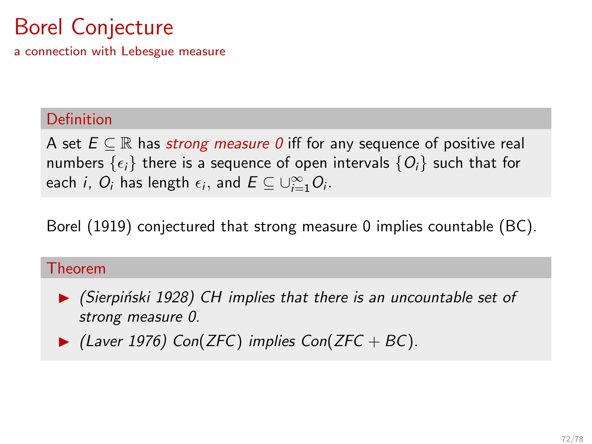a connection with Lebesgue measure

### Definition

A set  $E \subseteq \mathbb{R}$  has strong measure 0 iff for any sequence of positive real numbers  $\{\epsilon_i\}$  there is a sequence of open intervals  $\{O_i\}$  such that for each *i*,  $O_i$  has length  $\epsilon_i$ , and  $E \subseteq \cup_{i=1}^{\infty} O_i$ .

Borel (1919) conjectured that strong measure 0 implies countable (BC).

### Theorem



 $\blacktriangleright$  (Laver 1976) Con(ZFC) implies Con(ZFC + BC).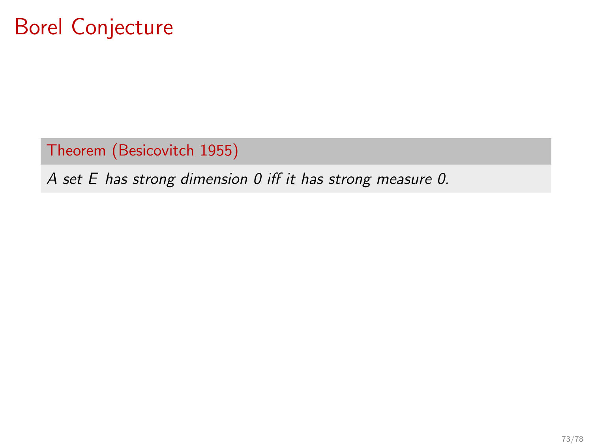Theorem (Besicovitch 1955)

A set E has strong dimension 0 iff it has strong measure 0.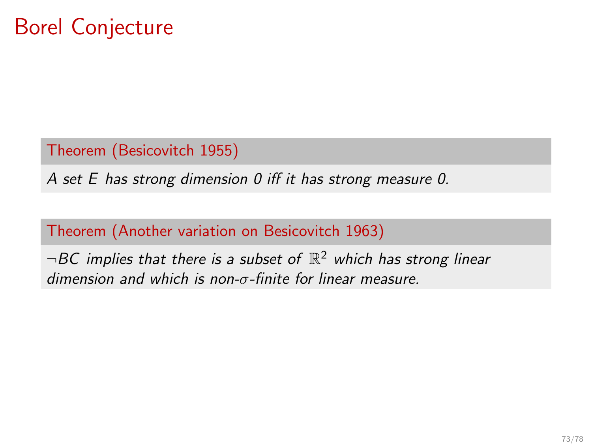Theorem (Besicovitch 1955)

A set E has strong dimension 0 iff it has strong measure 0.

### Theorem (Another variation on Besicovitch 1963)

 $\neg BC$  implies that there is a subset of  $\mathbb{R}^2$  which has strong linear dimension and which is non-σ-finite for linear measure.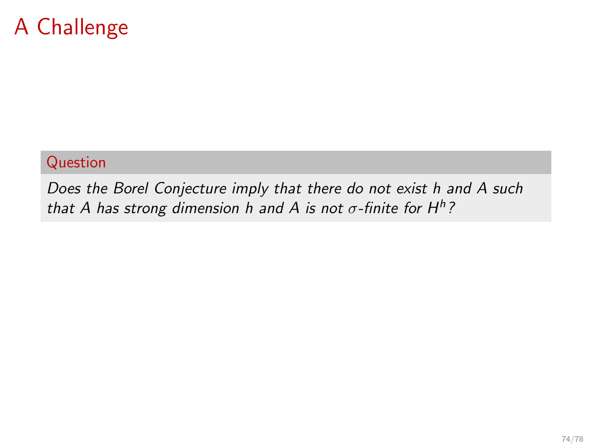### A Challenge

### Question

Does the Borel Conjecture imply that there do not exist h and A such that A has strong dimension h and A is not  $\sigma$ -finite for H<sup>h</sup>?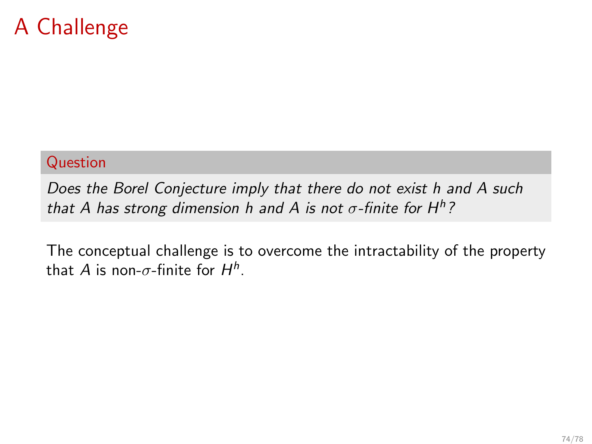### A Challenge

#### Question

Does the Borel Conjecture imply that there do not exist h and A such that A has strong dimension h and A is not  $\sigma$ -finite for H<sup>h</sup>?

The conceptual challenge is to overcome the intractability of the property that  $A$  is non- $\sigma$ -finite for  $H^h.$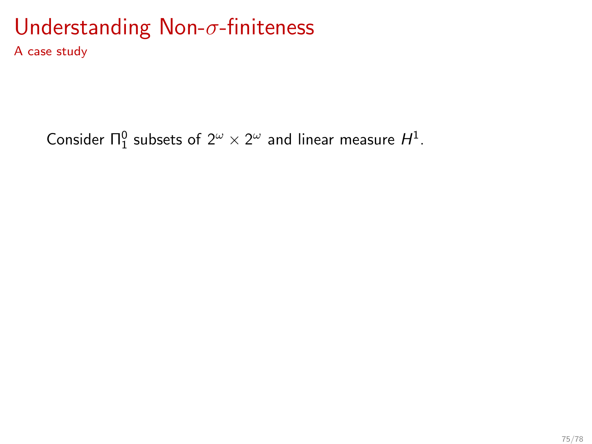A case study

Consider  $\Pi^0_1$  subsets of  $2^\omega \times 2^\omega$  and linear measure  $H^1$ .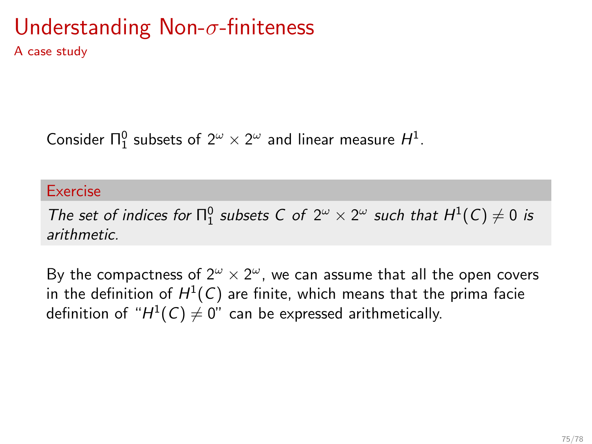A case study

Consider  $\Pi^0_1$  subsets of  $2^\omega \times 2^\omega$  and linear measure  $H^1$ .

#### Exercise

The set of indices for  $\Pi_1^0$  subsets C of  $2^\omega \times 2^\omega$  such that  $H^1(C) \neq 0$  is arithmetic.

By the compactness of  $2^{\omega} \times 2^{\omega}$ , we can assume that all the open covers in the definition of  $H^1(\mathcal{C})$  are finite, which means that the prima facie definition of " $H^1(\mathcal{C})\neq 0$ " can be expressed arithmetically.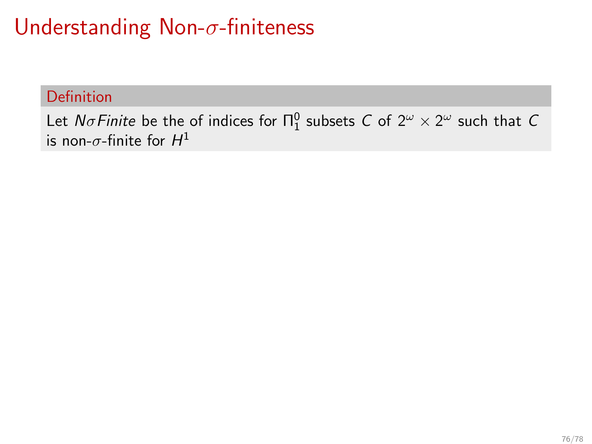# Understanding Non-σ-finiteness

### Definition

Let  $N\sigma$ Finite be the of indices for  $\Pi^0_1$  subsets  $C$  of  $2^\omega \times 2^\omega$  such that  $C$ is non- $\sigma$ -finite for  $H^1$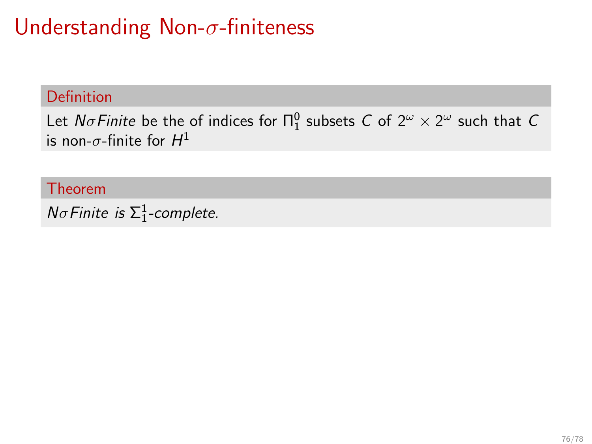### Definition

Let  $N\sigma$ Finite be the of indices for  $\Pi^0_1$  subsets  $C$  of  $2^\omega \times 2^\omega$  such that  $C$ is non- $\sigma$ -finite for  $H^1$ 

Theorem

 $N\sigma$ Finite is  $\Sigma_1^1$ -complete.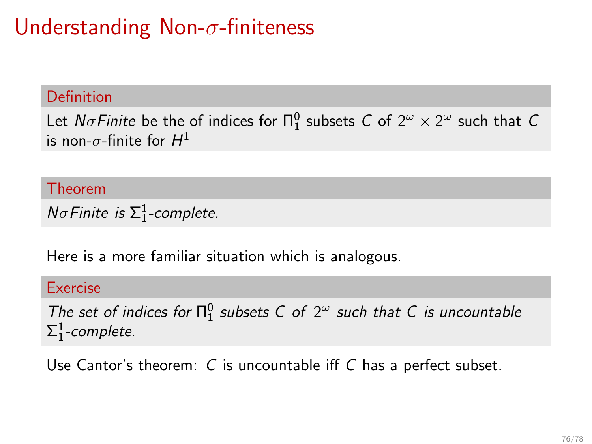#### Definition

Let  $N\sigma$ Finite be the of indices for  $\Pi^0_1$  subsets  $C$  of  $2^\omega \times 2^\omega$  such that  $C$ is non- $\sigma$ -finite for  $H^1$ 

Theorem

 $N\sigma$ Finite is  $\Sigma_1^1$ -complete.

Here is a more familiar situation which is analogous.

#### Exercise

The set of indices for  $\Pi_1^0$  subsets C of  $2^\omega$  such that C is uncountable  $\Sigma^1_1$ -complete.

Use Cantor's theorem: C is uncountable iff C has a perfect subset.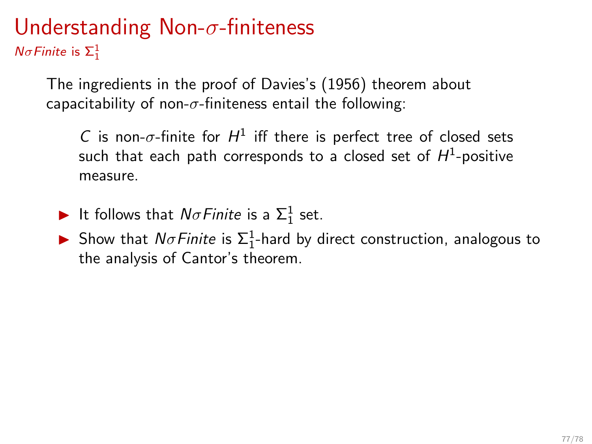$N\sigma$ Finite is  $\Sigma_1^1$ 

The ingredients in the proof of Davies's (1956) theorem about capacitability of non- $\sigma$ -finiteness entail the following:

C is non- $\sigma$ -finite for  $H^1$  iff there is perfect tree of closed sets such that each path corresponds to a closed set of  $H^1$ -positive measure.

It follows that  $N\sigma$ Finite is a  $\Sigma_1^1$  set.

Show that  $N\sigma$  Finite is  $\Sigma_1^1$ -hard by direct construction, analogous to the analysis of Cantor's theorem.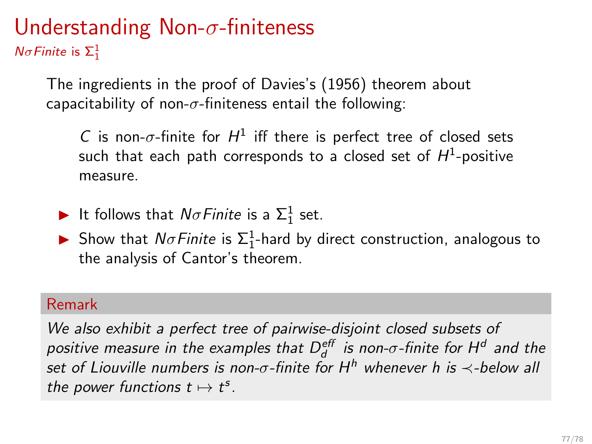$N\sigma$ Finite is  $\Sigma_1^1$ 

The ingredients in the proof of Davies's (1956) theorem about capacitability of non- $\sigma$ -finiteness entail the following:

C is non- $\sigma$ -finite for  $H^1$  iff there is perfect tree of closed sets such that each path corresponds to a closed set of  $H^1$ -positive measure.

- It follows that  $N\sigma$ Finite is a  $\Sigma_1^1$  set.
- Show that  $N\sigma$  Finite is  $\Sigma_1^1$ -hard by direct construction, analogous to the analysis of Cantor's theorem.

### Remark

We also exhibit a perfect tree of pairwise-disjoint closed subsets of positive measure in the examples that  $D_d^{\text{\it eff}}$  is non- $\sigma$ -finite for  $\mathsf{H}^d$  and the set of Liouville numbers is non- $\sigma$ -finite for H<sup>h</sup> whenever h is  $\prec$ -below all the power functions  $t \mapsto t^s$ .